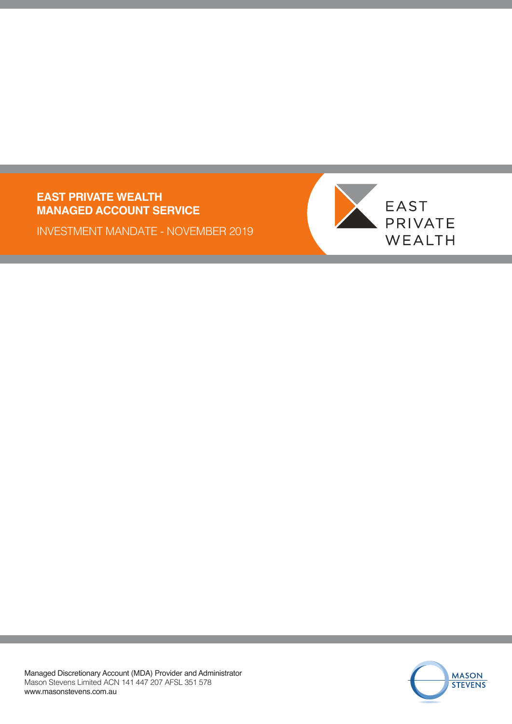### **EAST PRIVATE WEALTH MANAGED ACCOUNT SERVICE**

INVESTMENT MANDATE - NOVEMBER 2019



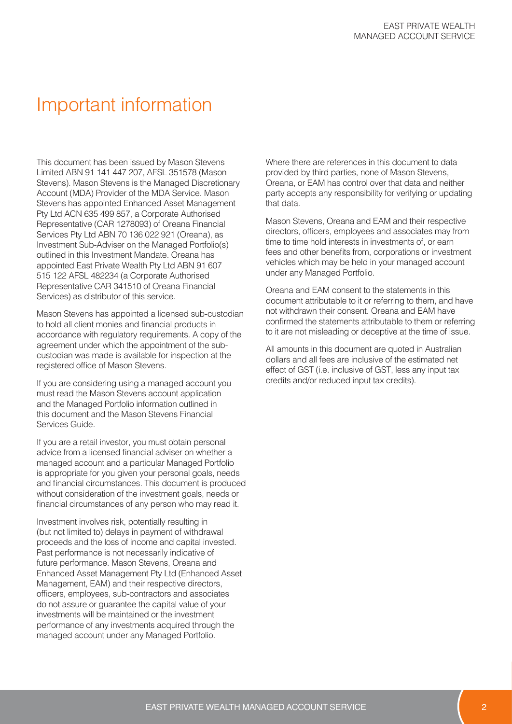## Important information

This document has been issued by Mason Stevens Limited ABN 91 141 447 207, AFSL 351578 (Mason Stevens). Mason Stevens is the Managed Discretionary Account (MDA) Provider of the MDA Service. Mason Stevens has appointed Enhanced Asset Management Pty Ltd ACN 635 499 857, a Corporate Authorised Representative (CAR 1278093) of Oreana Financial Services Pty Ltd ABN 70 136 022 921 (Oreana), as Investment Sub-Adviser on the Managed Portfolio(s) outlined in this Investment Mandate. Oreana has appointed East Private Wealth Pty Ltd ABN 91 607 515 122 AFSL 482234 (a Corporate Authorised Representative CAR 341510 of Oreana Financial Services) as distributor of this service.

Mason Stevens has appointed a licensed sub-custodian to hold all client monies and financial products in accordance with regulatory requirements. A copy of the agreement under which the appointment of the subcustodian was made is available for inspection at the registered office of Mason Stevens.

If you are considering using a managed account you must read the Mason Stevens account application and the Managed Portfolio information outlined in this document and the Mason Stevens Financial Services Guide.

If you are a retail investor, you must obtain personal advice from a licensed financial adviser on whether a managed account and a particular Managed Portfolio is appropriate for you given your personal goals, needs and financial circumstances. This document is produced without consideration of the investment goals, needs or financial circumstances of any person who may read it.

Investment involves risk, potentially resulting in (but not limited to) delays in payment of withdrawal proceeds and the loss of income and capital invested. Past performance is not necessarily indicative of future performance. Mason Stevens, Oreana and Enhanced Asset Management Pty Ltd (Enhanced Asset Management, EAM) and their respective directors, officers, employees, sub-contractors and associates do not assure or guarantee the capital value of your investments will be maintained or the investment performance of any investments acquired through the managed account under any Managed Portfolio.

Where there are references in this document to data provided by third parties, none of Mason Stevens, Oreana, or EAM has control over that data and neither party accepts any responsibility for verifying or updating that data.

Mason Stevens, Oreana and EAM and their respective directors, officers, employees and associates may from time to time hold interests in investments of, or earn fees and other benefits from, corporations or investment vehicles which may be held in your managed account under any Managed Portfolio.

Oreana and EAM consent to the statements in this document attributable to it or referring to them, and have not withdrawn their consent. Oreana and EAM have confirmed the statements attributable to them or referring to it are not misleading or deceptive at the time of issue.

All amounts in this document are quoted in Australian dollars and all fees are inclusive of the estimated net effect of GST (i.e. inclusive of GST, less any input tax credits and/or reduced input tax credits).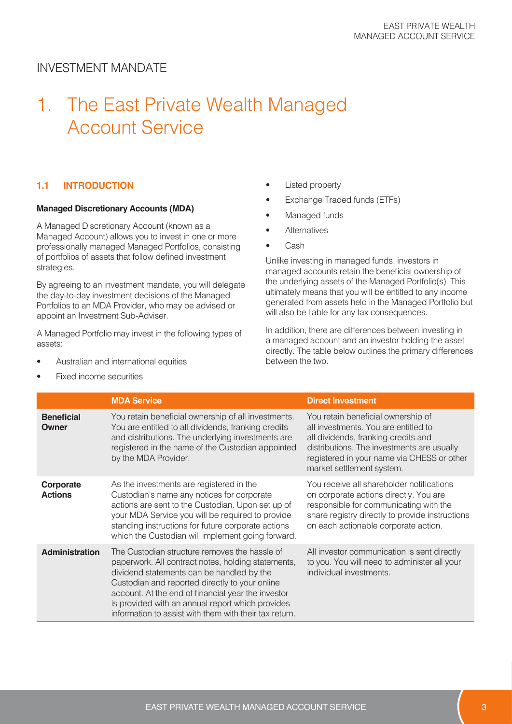# 1. The East Private Wealth Managed Account Service

#### **1.1 INTRODUCTION**

#### **Managed Discretionary Accounts (MDA)**

A Managed Discretionary Account (known as a Managed Account) allows you to invest in one or more professionally managed Managed Portfolios, consisting of portfolios of assets that follow defined investment strategies.

By agreeing to an investment mandate, you will delegate the day-to-day investment decisions of the Managed Portfolios to an MDA Provider, who may be advised or appoint an Investment Sub-Adviser.

A Managed Portfolio may invest in the following types of assets:

- Australian and international equities
- Fixed income securities
- Listed property
- Exchange Traded funds (ETFs)
- Managed funds
- **Alternatives**
- Cash

Unlike investing in managed funds, investors in managed accounts retain the beneficial ownership of the underlying assets of the Managed Portfolio(s). This ultimately means that you will be entitled to any income generated from assets held in the Managed Portfolio but will also be liable for any tax consequences.

In addition, there are differences between investing in a managed account and an investor holding the asset directly. The table below outlines the primary differences between the two.

|                             | <b>MDA Service</b>                                                                                                                                                                                                                                                                                                                                                     | <b>Direct Investment</b>                                                                                                                                                                                                                   |
|-----------------------------|------------------------------------------------------------------------------------------------------------------------------------------------------------------------------------------------------------------------------------------------------------------------------------------------------------------------------------------------------------------------|--------------------------------------------------------------------------------------------------------------------------------------------------------------------------------------------------------------------------------------------|
| <b>Beneficial</b><br>Owner  | You retain beneficial ownership of all investments.<br>You are entitled to all dividends, franking credits<br>and distributions. The underlying investments are<br>registered in the name of the Custodian appointed<br>by the MDA Provider.                                                                                                                           | You retain beneficial ownership of<br>all investments. You are entitled to<br>all dividends, franking credits and<br>distributions. The investments are usually<br>registered in your name via CHESS or other<br>market settlement system. |
| Corporate<br><b>Actions</b> | As the investments are registered in the<br>Custodian's name any notices for corporate<br>actions are sent to the Custodian. Upon set up of<br>your MDA Service you will be required to provide<br>standing instructions for future corporate actions<br>which the Custodian will implement going forward.                                                             | You receive all shareholder notifications<br>on corporate actions directly. You are<br>responsible for communicating with the<br>share registry directly to provide instructions<br>on each actionable corporate action.                   |
| <b>Administration</b>       | The Custodian structure removes the hassle of<br>paperwork. All contract notes, holding statements,<br>dividend statements can be handled by the<br>Custodian and reported directly to your online<br>account. At the end of financial year the investor<br>is provided with an annual report which provides<br>information to assist with them with their tax return. | All investor communication is sent directly<br>to you. You will need to administer all your<br>individual investments.                                                                                                                     |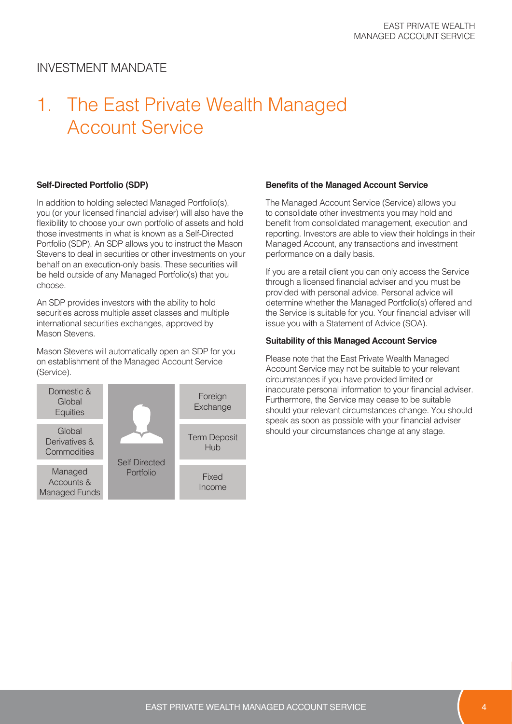# 1. The East Private Wealth Managed Account Service

#### **Self-Directed Portfolio (SDP)**

In addition to holding selected Managed Portfolio(s), you (or your licensed financial adviser) will also have the flexibility to choose your own portfolio of assets and hold those investments in what is known as a Self-Directed Portfolio (SDP). An SDP allows you to instruct the Mason Stevens to deal in securities or other investments on your behalf on an execution-only basis. These securities will be held outside of any Managed Portfolio(s) that you choose.

An SDP provides investors with the ability to hold securities across multiple asset classes and multiple international securities exchanges, approved by Mason Stevens.

Mason Stevens will automatically open an SDP for you on establishment of the Managed Account Service (Service).



#### **Benefits of the Managed Account Service**

The Managed Account Service (Service) allows you to consolidate other investments you may hold and benefit from consolidated management, execution and reporting. Investors are able to view their holdings in their Managed Account, any transactions and investment performance on a daily basis.

If you are a retail client you can only access the Service through a licensed financial adviser and you must be provided with personal advice. Personal advice will determine whether the Managed Portfolio(s) offered and the Service is suitable for you. Your financial adviser will issue you with a Statement of Advice (SOA).

#### **Suitability of this Managed Account Service**

Please note that the East Private Wealth Managed Account Service may not be suitable to your relevant circumstances if you have provided limited or inaccurate personal information to your financial adviser. Furthermore, the Service may cease to be suitable should your relevant circumstances change. You should speak as soon as possible with your financial adviser should your circumstances change at any stage.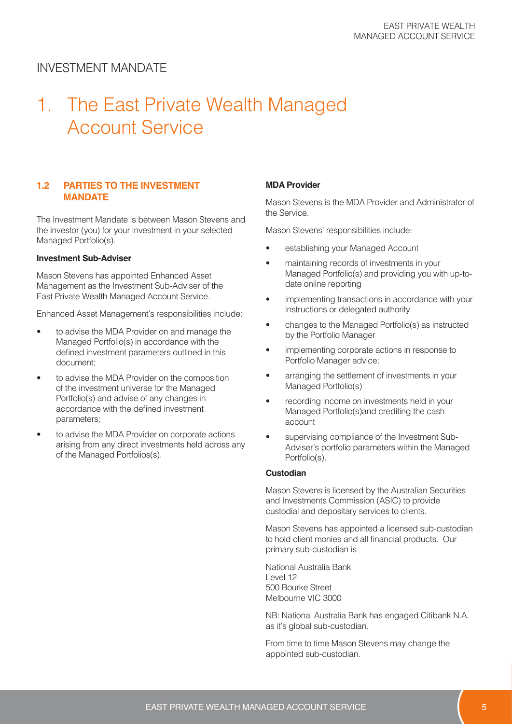## 1. The East Private Wealth Managed Account Service

#### **1.2 PARTIES TO THE INVESTMENT MANDATE**

The Investment Mandate is between Mason Stevens and the investor (you) for your investment in your selected Managed Portfolio(s).

#### **Investment Sub-Adviser**

Mason Stevens has appointed Enhanced Asset Management as the Investment Sub-Adviser of the East Private Wealth Managed Account Service.

Enhanced Asset Management's responsibilities include:

- to advise the MDA Provider on and manage the Managed Portfolio(s) in accordance with the defined investment parameters outlined in this document;
- to advise the MDA Provider on the composition of the investment universe for the Managed Portfolio(s) and advise of any changes in accordance with the defined investment parameters;
- to advise the MDA Provider on corporate actions arising from any direct investments held across any of the Managed Portfolios(s).

#### **MDA Provider**

Mason Stevens is the MDA Provider and Administrator of the Service.

Mason Stevens' responsibilities include:

- establishing your Managed Account
- maintaining records of investments in your Managed Portfolio(s) and providing you with up-todate online reporting
- implementing transactions in accordance with your instructions or delegated authority
- changes to the Managed Portfolio(s) as instructed by the Portfolio Manager
- implementing corporate actions in response to Portfolio Manager advice;
- arranging the settlement of investments in your Managed Portfolio(s)
- recording income on investments held in your Managed Portfolio(s)and crediting the cash account
- supervising compliance of the Investment Sub-Adviser's portfolio parameters within the Managed Portfolio(s).

#### **Custodian**

Mason Stevens is licensed by the Australian Securities and Investments Commission (ASIC) to provide custodial and depositary services to clients.

Mason Stevens has appointed a licensed sub-custodian to hold client monies and all financial products. Our primary sub-custodian is

National Australia Bank  $|P|$  AVel 12 500 Bourke Street Melbourne VIC 3000

NB: National Australia Bank has engaged Citibank N.A. as it's global sub-custodian.

From time to time Mason Stevens may change the appointed sub-custodian.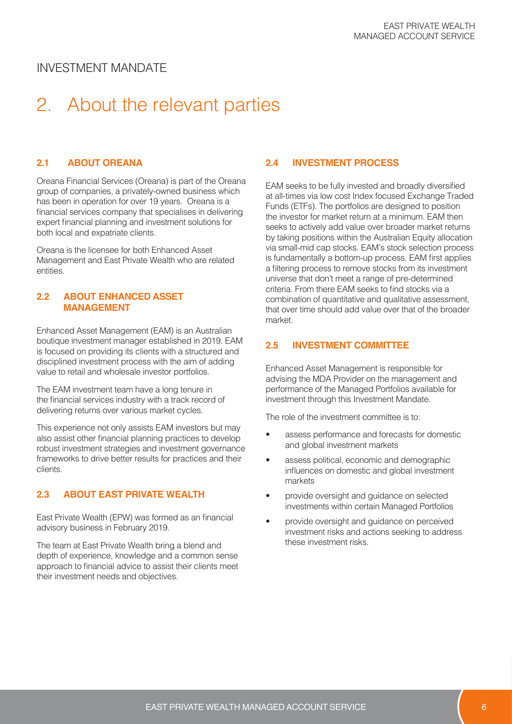# 2. About the relevant parties

#### **2.1 ABOUT OREANA**

Oreana Financial Services (Oreana) is part of the Oreana group of companies, a privately-owned business which has been in operation for over 19 years. Oreana is a financial services company that specialises in delivering expert financial planning and investment solutions for both local and expatriate clients.

Oreana is the licensee for both Enhanced Asset Management and East Private Wealth who are related entities.

#### **2.2 ABOUT ENHANCED ASSET MANAGEMENT**

Enhanced Asset Management (EAM) is an Australian boutique investment manager established in 2019. EAM is focused on providing its clients with a structured and disciplined investment process with the aim of adding value to retail and wholesale investor portfolios.

The EAM investment team have a long tenure in the financial services industry with a track record of delivering returns over various market cycles.

This experience not only assists EAM investors but may also assist other financial planning practices to develop robust investment strategies and investment governance frameworks to drive better results for practices and their clients.

#### **2.3 ABOUT EAST PRIVATE WEALTH**

East Private Wealth (EPW) was formed as an financial advisory business in February 2019.

The team at East Private Wealth bring a blend and depth of experience, knowledge and a common sense approach to financial advice to assist their clients meet their investment needs and objectives.

#### **2.4 INVESTMENT PROCESS**

EAM seeks to be fully invested and broadly diversified at all-times via low cost Index focused Exchange Traded Funds (ETFs). The portfolios are designed to position the investor for market return at a minimum. EAM then seeks to actively add value over broader market returns by taking positions within the Australian Equity allocation via small-mid cap stocks. EAM's stock selection process is fundamentally a bottom-up process. EAM first applies a filtering process to remove stocks from its investment universe that don't meet a range of pre-determined criteria. From there EAM seeks to find stocks via a combination of quantitative and qualitative assessment, that over time should add value over that of the broader market.

#### **2.5 INVESTMENT COMMITTEE**

Enhanced Asset Management is responsible for advising the MDA Provider on the management and performance of the Managed Portfolios available for investment through this Investment Mandate.

The role of the investment committee is to:

- assess performance and forecasts for domestic and global investment markets
- assess political, economic and demographic influences on domestic and global investment markets
- provide oversight and guidance on selected investments within certain Managed Portfolios
- provide oversight and guidance on perceived investment risks and actions seeking to address these investment risks.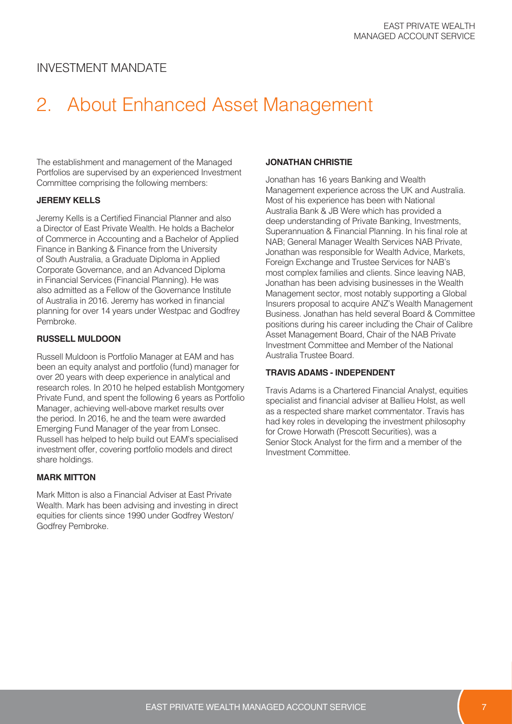# 2. About Enhanced Asset Management

The establishment and management of the Managed Portfolios are supervised by an experienced Investment Committee comprising the following members:

#### **JEREMY KELLS**

Jeremy Kells is a Certified Financial Planner and also a Director of East Private Wealth. He holds a Bachelor of Commerce in Accounting and a Bachelor of Applied Finance in Banking & Finance from the University of South Australia, a Graduate Diploma in Applied Corporate Governance, and an Advanced Diploma in Financial Services (Financial Planning). He was also admitted as a Fellow of the Governance Institute of Australia in 2016. Jeremy has worked in financial planning for over 14 years under Westpac and Godfrey Pembroke.

#### **RUSSELL MULDOON**

Russell Muldoon is Portfolio Manager at EAM and has been an equity analyst and portfolio (fund) manager for over 20 years with deep experience in analytical and research roles. In 2010 he helped establish Montgomery Private Fund, and spent the following 6 years as Portfolio Manager, achieving well-above market results over the period. In 2016, he and the team were awarded Emerging Fund Manager of the year from Lonsec. Russell has helped to help build out EAM's specialised investment offer, covering portfolio models and direct share holdings.

#### **MARK MITTON**

Mark Mitton is also a Financial Adviser at East Private Wealth. Mark has been advising and investing in direct equities for clients since 1990 under Godfrey Weston/ Godfrey Pembroke.

#### **JONATHAN CHRISTIE**

Jonathan has 16 years Banking and Wealth Management experience across the UK and Australia. Most of his experience has been with National Australia Bank & JB Were which has provided a deep understanding of Private Banking, Investments, Superannuation & Financial Planning. In his final role at NAB; General Manager Wealth Services NAB Private, Jonathan was responsible for Wealth Advice, Markets, Foreign Exchange and Trustee Services for NAB's most complex families and clients. Since leaving NAB, Jonathan has been advising businesses in the Wealth Management sector, most notably supporting a Global Insurers proposal to acquire ANZ's Wealth Management Business. Jonathan has held several Board & Committee positions during his career including the Chair of Calibre Asset Management Board, Chair of the NAB Private Investment Committee and Member of the National Australia Trustee Board.

#### **TRAVIS ADAMS - INDEPENDENT**

Travis Adams is a Chartered Financial Analyst, equities specialist and financial adviser at Ballieu Holst, as well as a respected share market commentator. Travis has had key roles in developing the investment philosophy for Crowe Horwath (Prescott Securities), was a Senior Stock Analyst for the firm and a member of the Investment Committee.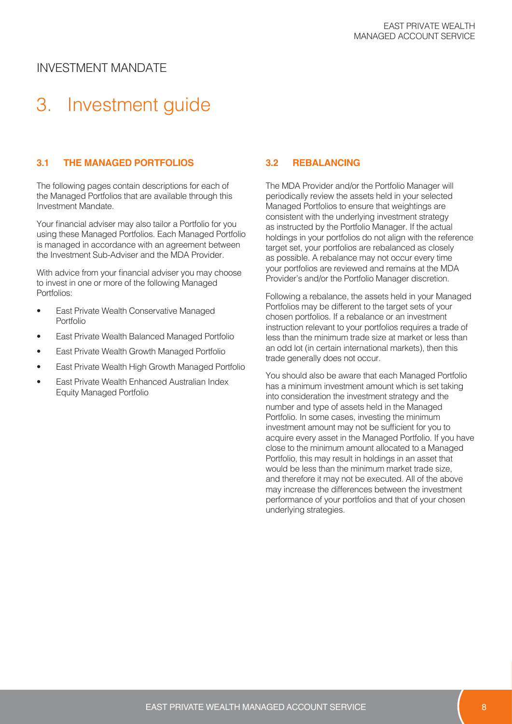# 3. Investment guide

#### **3.1 THE MANAGED PORTFOLIOS**

The following pages contain descriptions for each of the Managed Portfolios that are available through this Investment Mandate.

Your financial adviser may also tailor a Portfolio for you using these Managed Portfolios. Each Managed Portfolio is managed in accordance with an agreement between the Investment Sub-Adviser and the MDA Provider.

With advice from your financial adviser you may choose to invest in one or more of the following Managed Portfolios:

- East Private Wealth Conservative Managed Portfolio
- East Private Wealth Balanced Managed Portfolio
- East Private Wealth Growth Managed Portfolio
- East Private Wealth High Growth Managed Portfolio
- East Private Wealth Enhanced Australian Index Equity Managed Portfolio

#### **3.2 REBALANCING**

The MDA Provider and/or the Portfolio Manager will periodically review the assets held in your selected Managed Portfolios to ensure that weightings are consistent with the underlying investment strategy as instructed by the Portfolio Manager. If the actual holdings in your portfolios do not align with the reference target set, your portfolios are rebalanced as closely as possible. A rebalance may not occur every time your portfolios are reviewed and remains at the MDA Provider's and/or the Portfolio Manager discretion.

Following a rebalance, the assets held in your Managed Portfolios may be different to the target sets of your chosen portfolios. If a rebalance or an investment instruction relevant to your portfolios requires a trade of less than the minimum trade size at market or less than an odd lot (in certain international markets), then this trade generally does not occur.

You should also be aware that each Managed Portfolio has a minimum investment amount which is set taking into consideration the investment strategy and the number and type of assets held in the Managed Portfolio. In some cases, investing the minimum investment amount may not be sufficient for you to acquire every asset in the Managed Portfolio. If you have close to the minimum amount allocated to a Managed Portfolio, this may result in holdings in an asset that would be less than the minimum market trade size, and therefore it may not be executed. All of the above may increase the differences between the investment performance of your portfolios and that of your chosen underlying strategies.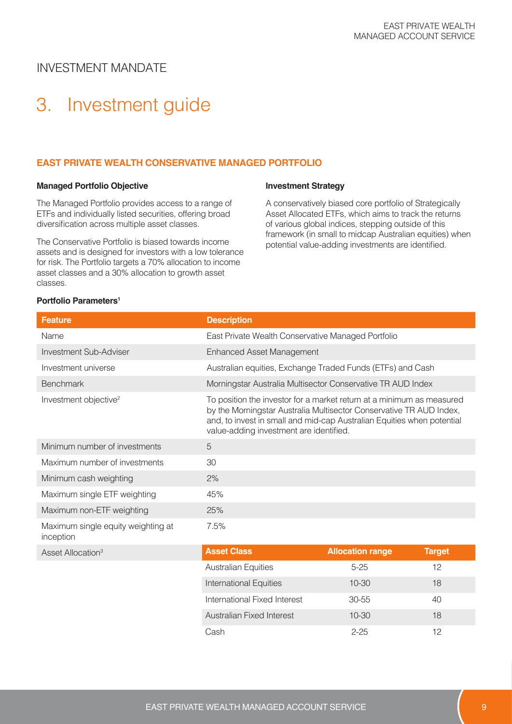# 3. Investment guide

#### **EAST PRIVATE WEALTH CONSERVATIVE MANAGED PORTFOLIO**

#### **Managed Portfolio Objective**

The Managed Portfolio provides access to a range of ETFs and individually listed securities, offering broad diversification across multiple asset classes.

The Conservative Portfolio is biased towards income assets and is designed for investors with a low tolerance for risk. The Portfolio targets a 70% allocation to income asset classes and a 30% allocation to growth asset classes.

#### **Investment Strategy**

A conservatively biased core portfolio of Strategically Asset Allocated ETFs, which aims to track the returns of various global indices, stepping outside of this framework (in small to midcap Australian equities) when potential value-adding investments are identified.

#### **Portfolio Parameters<sup>1</sup>**

| <b>Feature</b>                                  | <b>Description</b>                                                                                                                                                                                                                                                |                            |  |
|-------------------------------------------------|-------------------------------------------------------------------------------------------------------------------------------------------------------------------------------------------------------------------------------------------------------------------|----------------------------|--|
| Name                                            | East Private Wealth Conservative Managed Portfolio                                                                                                                                                                                                                |                            |  |
| Investment Sub-Adviser                          | <b>Enhanced Asset Management</b>                                                                                                                                                                                                                                  |                            |  |
| Investment universe                             | Australian equities, Exchange Traded Funds (ETFs) and Cash                                                                                                                                                                                                        |                            |  |
| <b>Benchmark</b>                                | Morningstar Australia Multisector Conservative TR AUD Index                                                                                                                                                                                                       |                            |  |
| Investment objective <sup>2</sup>               | To position the investor for a market return at a minimum as measured<br>by the Morningstar Australia Multisector Conservative TR AUD Index,<br>and, to invest in small and mid-cap Australian Equities when potential<br>value-adding investment are identified. |                            |  |
| Minimum number of investments                   | 5                                                                                                                                                                                                                                                                 |                            |  |
| Maximum number of investments                   | 30                                                                                                                                                                                                                                                                |                            |  |
| Minimum cash weighting                          | 2%                                                                                                                                                                                                                                                                |                            |  |
| Maximum single ETF weighting                    | 45%                                                                                                                                                                                                                                                               |                            |  |
| Maximum non-ETF weighting                       | 25%                                                                                                                                                                                                                                                               |                            |  |
| Maximum single equity weighting at<br>inception | 7.5%                                                                                                                                                                                                                                                              |                            |  |
| A                                               | <b>Accot Clace</b>                                                                                                                                                                                                                                                | Allocation range<br>Tarnet |  |

| Asset Allocation <sup>3</sup> | <b>Asset Class</b>            | <b>Allocation range</b> | <b>Target</b> |  |
|-------------------------------|-------------------------------|-------------------------|---------------|--|
|                               | <b>Australian Equities</b>    | $5 - 25$                | 12            |  |
|                               | <b>International Equities</b> | $10 - 30$               | 18            |  |
|                               | International Fixed Interest  | 30-55                   | 40            |  |
|                               | Australian Fixed Interest     | $10 - 30$               | 18            |  |
|                               | Cash                          | $2 - 25$                | 12            |  |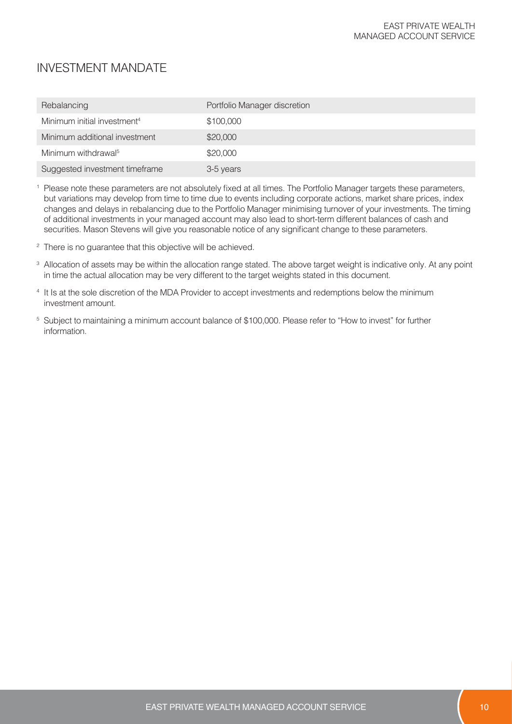| Rebalancing                             | Portfolio Manager discretion |
|-----------------------------------------|------------------------------|
| Minimum initial investment <sup>4</sup> | \$100,000                    |
| Minimum additional investment           | \$20,000                     |
| Minimum withdrawal <sup>5</sup>         | \$20,000                     |
| Suggested investment timeframe          | 3-5 years                    |

<sup>1</sup> Please note these parameters are not absolutely fixed at all times. The Portfolio Manager targets these parameters, but variations may develop from time to time due to events including corporate actions, market share prices, index changes and delays in rebalancing due to the Portfolio Manager minimising turnover of your investments. The timing of additional investments in your managed account may also lead to short-term different balances of cash and securities. Mason Stevens will give you reasonable notice of any significant change to these parameters.

- <sup>2</sup> There is no guarantee that this objective will be achieved.
- <sup>3</sup> Allocation of assets may be within the allocation range stated. The above target weight is indicative only. At any point in time the actual allocation may be very different to the target weights stated in this document.
- <sup>4</sup> It Is at the sole discretion of the MDA Provider to accept investments and redemptions below the minimum investment amount.
- <sup>5</sup> Subject to maintaining a minimum account balance of \$100,000. Please refer to "How to invest" for further information.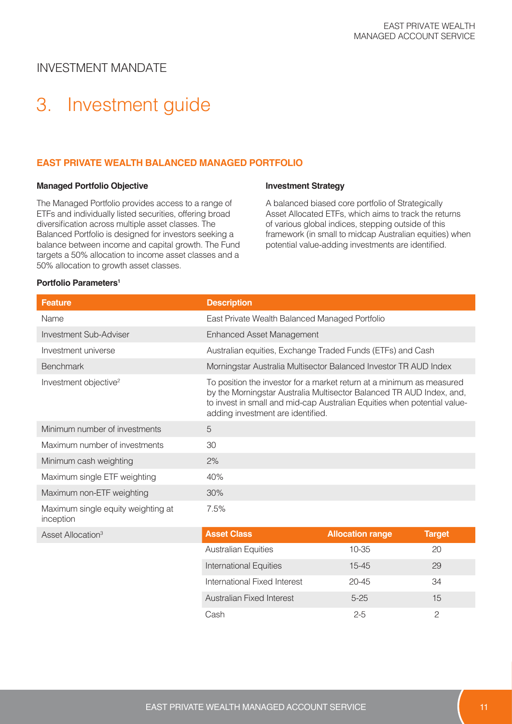# 3. Investment guide

#### **EAST PRIVATE WEALTH BALANCED MANAGED PORTFOLIO**

#### **Managed Portfolio Objective**

The Managed Portfolio provides access to a range of ETFs and individually listed securities, offering broad diversification across multiple asset classes. The Balanced Portfolio is designed for investors seeking a balance between income and capital growth. The Fund targets a 50% allocation to income asset classes and a 50% allocation to growth asset classes.

#### **Investment Strategy**

A balanced biased core portfolio of Strategically Asset Allocated ETFs, which aims to track the returns of various global indices, stepping outside of this framework (in small to midcap Australian equities) when potential value-adding investments are identified.

#### **Portfolio Parameters<sup>1</sup>**

| <b>Feature</b>                                  | <b>Description</b>                                                                                                                                                                                                                                             |
|-------------------------------------------------|----------------------------------------------------------------------------------------------------------------------------------------------------------------------------------------------------------------------------------------------------------------|
| Name                                            | East Private Wealth Balanced Managed Portfolio                                                                                                                                                                                                                 |
| <b>Investment Sub-Adviser</b>                   | <b>Enhanced Asset Management</b>                                                                                                                                                                                                                               |
| Investment universe                             | Australian equities, Exchange Traded Funds (ETFs) and Cash                                                                                                                                                                                                     |
| <b>Benchmark</b>                                | Morningstar Australia Multisector Balanced Investor TR AUD Index                                                                                                                                                                                               |
| Investment objective <sup>2</sup>               | To position the investor for a market return at a minimum as measured<br>by the Morningstar Australia Multisector Balanced TR AUD Index, and,<br>to invest in small and mid-cap Australian Equities when potential value-<br>adding investment are identified. |
| Minimum number of investments                   | 5                                                                                                                                                                                                                                                              |
| Maximum number of investments                   | 30                                                                                                                                                                                                                                                             |
| Minimum cash weighting                          | 2%                                                                                                                                                                                                                                                             |
| Maximum single ETF weighting                    | 40%                                                                                                                                                                                                                                                            |
| Maximum non-ETF weighting                       | 30%                                                                                                                                                                                                                                                            |
| Maximum single equity weighting at<br>inception | 7.5%                                                                                                                                                                                                                                                           |

**Asset Allocation**<sup>3</sup>

| <b>Asset Class</b>            | <b>Allocation range</b> | <b>Target</b> |
|-------------------------------|-------------------------|---------------|
| <b>Australian Equities</b>    | $10 - 35$               | 20            |
| <b>International Equities</b> | $15 - 45$               | 29            |
| International Fixed Interest  | $20 - 45$               | 34            |
| Australian Fixed Interest     | $5 - 25$                | 15            |
| Cash                          | $2 - 5$                 |               |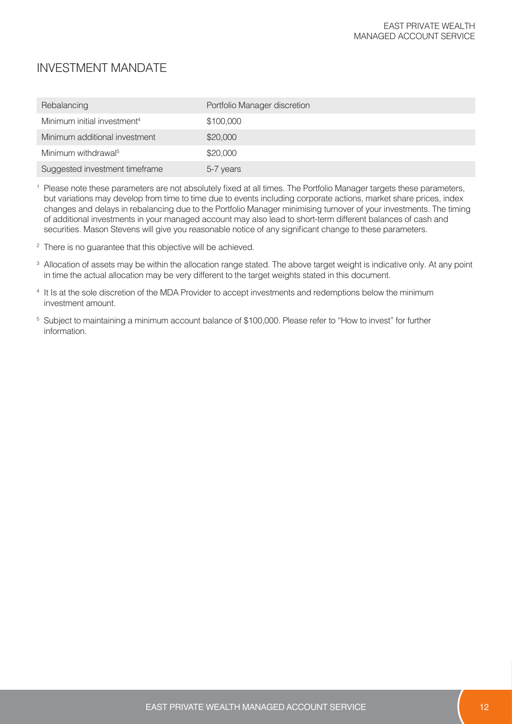| Rebalancing                             | Portfolio Manager discretion |
|-----------------------------------------|------------------------------|
| Minimum initial investment <sup>4</sup> | \$100,000                    |
| Minimum additional investment           | \$20,000                     |
| Minimum withdrawal <sup>5</sup>         | \$20,000                     |
| Suggested investment timeframe          | 5-7 years                    |

<sup>1</sup> Please note these parameters are not absolutely fixed at all times. The Portfolio Manager targets these parameters, but variations may develop from time to time due to events including corporate actions, market share prices, index changes and delays in rebalancing due to the Portfolio Manager minimising turnover of your investments. The timing of additional investments in your managed account may also lead to short-term different balances of cash and securities. Mason Stevens will give you reasonable notice of any significant change to these parameters.

- <sup>2</sup> There is no guarantee that this objective will be achieved.
- <sup>3</sup> Allocation of assets may be within the allocation range stated. The above target weight is indicative only. At any point in time the actual allocation may be very different to the target weights stated in this document.
- <sup>4</sup> It Is at the sole discretion of the MDA Provider to accept investments and redemptions below the minimum investment amount.
- <sup>5</sup> Subject to maintaining a minimum account balance of \$100,000. Please refer to "How to invest" for further information.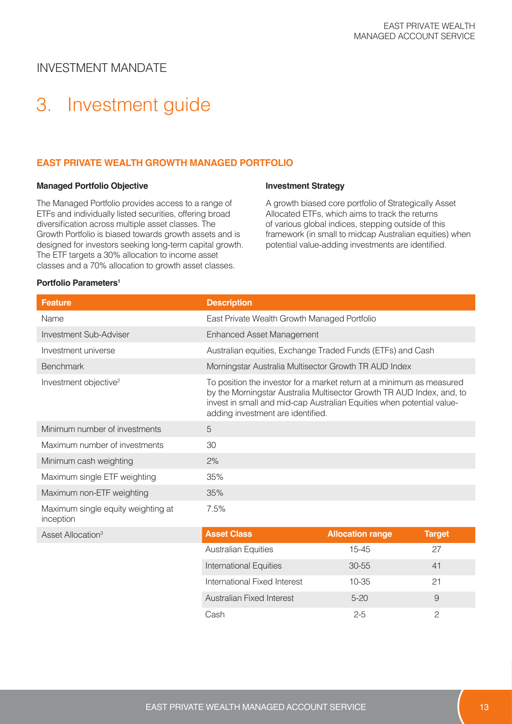# 3. Investment guide

#### **EAST PRIVATE WEALTH GROWTH MANAGED PORTFOLIO**

#### **Managed Portfolio Objective**

The Managed Portfolio provides access to a range of ETFs and individually listed securities, offering broad diversification across multiple asset classes. The Growth Portfolio is biased towards growth assets and is designed for investors seeking long-term capital growth. The ETF targets a 30% allocation to income asset classes and a 70% allocation to growth asset classes.

#### **Investment Strategy**

A growth biased core portfolio of Strategically Asset Allocated ETFs, which aims to track the returns of various global indices, stepping outside of this framework (in small to midcap Australian equities) when potential value-adding investments are identified.

#### **Portfolio Parameters<sup>1</sup>**

| <b>Feature</b>                                  | <b>Description</b>                                                                                                                                                                                                                                           |
|-------------------------------------------------|--------------------------------------------------------------------------------------------------------------------------------------------------------------------------------------------------------------------------------------------------------------|
| Name                                            | East Private Wealth Growth Managed Portfolio                                                                                                                                                                                                                 |
| <b>Investment Sub-Adviser</b>                   | <b>Enhanced Asset Management</b>                                                                                                                                                                                                                             |
| Investment universe                             | Australian equities, Exchange Traded Funds (ETFs) and Cash                                                                                                                                                                                                   |
| <b>Benchmark</b>                                | Morningstar Australia Multisector Growth TR AUD Index                                                                                                                                                                                                        |
| Investment objective <sup>2</sup>               | To position the investor for a market return at a minimum as measured<br>by the Morningstar Australia Multisector Growth TR AUD Index, and, to<br>invest in small and mid-cap Australian Equities when potential value-<br>adding investment are identified. |
| Minimum number of investments                   | 5                                                                                                                                                                                                                                                            |
| Maximum number of investments                   | 30                                                                                                                                                                                                                                                           |
| Minimum cash weighting                          | 2%                                                                                                                                                                                                                                                           |
| Maximum single ETF weighting                    | 35%                                                                                                                                                                                                                                                          |
| Maximum non-ETF weighting                       | 35%                                                                                                                                                                                                                                                          |
| Maximum single equity weighting at<br>inception | 7.5%                                                                                                                                                                                                                                                         |

**Asset Allocation**<sup>3</sup>

| <b>Asset Class</b>            | <b>Allocation range</b> | <b>Target</b> |
|-------------------------------|-------------------------|---------------|
| <b>Australian Equities</b>    | $15 - 45$               | 27            |
| <b>International Equities</b> | $30 - 55$               | 41            |
| International Fixed Interest  | $10 - 35$               | 21            |
| Australian Fixed Interest     | $5-20$                  | 9             |
| Cash                          | $2 - 5$                 |               |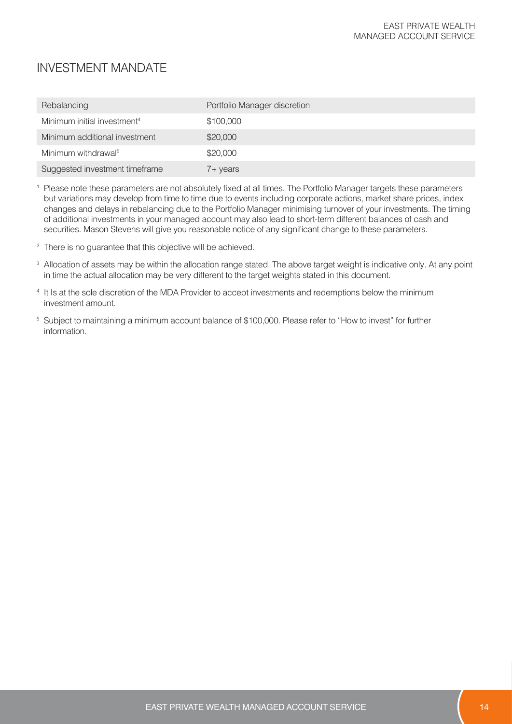| Rebalancing                             | Portfolio Manager discretion |
|-----------------------------------------|------------------------------|
| Minimum initial investment <sup>4</sup> | \$100,000                    |
| Minimum additional investment           | \$20,000                     |
| Minimum withdrawal <sup>5</sup>         | \$20,000                     |
| Suggested investment timeframe          | 7+ years                     |

<sup>1</sup> Please note these parameters are not absolutely fixed at all times. The Portfolio Manager targets these parameters but variations may develop from time to time due to events including corporate actions, market share prices, index changes and delays in rebalancing due to the Portfolio Manager minimising turnover of your investments. The timing of additional investments in your managed account may also lead to short-term different balances of cash and securities. Mason Stevens will give you reasonable notice of any significant change to these parameters.

- <sup>2</sup> There is no guarantee that this objective will be achieved.
- <sup>3</sup> Allocation of assets may be within the allocation range stated. The above target weight is indicative only. At any point in time the actual allocation may be very different to the target weights stated in this document.
- <sup>4</sup> It Is at the sole discretion of the MDA Provider to accept investments and redemptions below the minimum investment amount.
- <sup>5</sup> Subject to maintaining a minimum account balance of \$100,000. Please refer to "How to invest" for further information.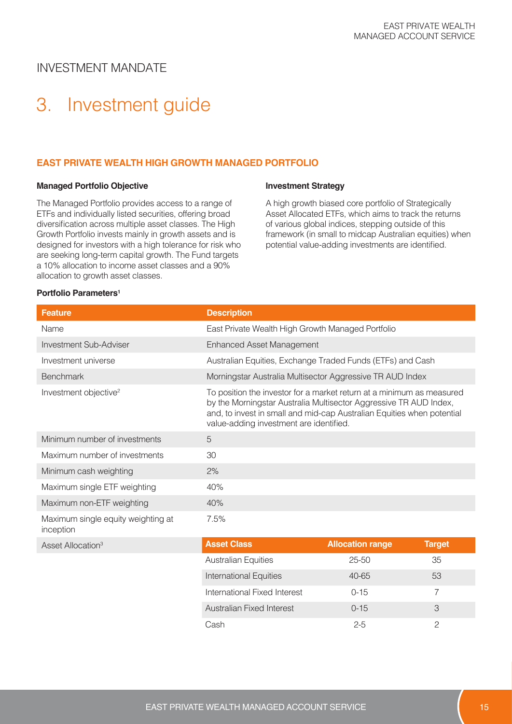# 3. Investment guide

#### **EAST PRIVATE WEALTH HIGH GROWTH MANAGED PORTFOLIO**

#### **Managed Portfolio Objective**

The Managed Portfolio provides access to a range of ETFs and individually listed securities, offering broad diversification across multiple asset classes. The High Growth Portfolio invests mainly in growth assets and is designed for investors with a high tolerance for risk who are seeking long-term capital growth. The Fund targets a 10% allocation to income asset classes and a 90% allocation to growth asset classes.

#### **Investment Strategy**

A high growth biased core portfolio of Strategically Asset Allocated ETFs, which aims to track the returns of various global indices, stepping outside of this framework (in small to midcap Australian equities) when potential value-adding investments are identified.

#### **Portfolio Parameters<sup>1</sup>**

| <b>Feature</b>                                  | <b>Description</b>                                                                                                                                                                                                                                              |                         |               |
|-------------------------------------------------|-----------------------------------------------------------------------------------------------------------------------------------------------------------------------------------------------------------------------------------------------------------------|-------------------------|---------------|
| Name                                            | East Private Wealth High Growth Managed Portfolio                                                                                                                                                                                                               |                         |               |
| Investment Sub-Adviser                          | <b>Enhanced Asset Management</b>                                                                                                                                                                                                                                |                         |               |
| Investment universe                             | Australian Equities, Exchange Traded Funds (ETFs) and Cash                                                                                                                                                                                                      |                         |               |
| <b>Benchmark</b>                                | Morningstar Australia Multisector Aggressive TR AUD Index                                                                                                                                                                                                       |                         |               |
| Investment objective <sup>2</sup>               | To position the investor for a market return at a minimum as measured<br>by the Morningstar Australia Multisector Aggressive TR AUD Index,<br>and, to invest in small and mid-cap Australian Equities when potential<br>value-adding investment are identified. |                         |               |
| Minimum number of investments                   | 5                                                                                                                                                                                                                                                               |                         |               |
| Maximum number of investments                   | 30                                                                                                                                                                                                                                                              |                         |               |
| Minimum cash weighting                          | 2%                                                                                                                                                                                                                                                              |                         |               |
| Maximum single ETF weighting                    | 40%                                                                                                                                                                                                                                                             |                         |               |
| Maximum non-ETF weighting                       | 40%                                                                                                                                                                                                                                                             |                         |               |
| Maximum single equity weighting at<br>inception | 7.5%                                                                                                                                                                                                                                                            |                         |               |
| Asset Allocation <sup>3</sup>                   | <b>Asset Class</b>                                                                                                                                                                                                                                              | <b>Allocation range</b> | <b>Target</b> |
|                                                 | <b>Australian Equities</b>                                                                                                                                                                                                                                      | $25 - 50$               | 35            |
|                                                 | <b>International Equities</b>                                                                                                                                                                                                                                   | 40-65                   | 53            |

International Fixed Interest 0-15 7 Australian Fixed Interest 0-15 3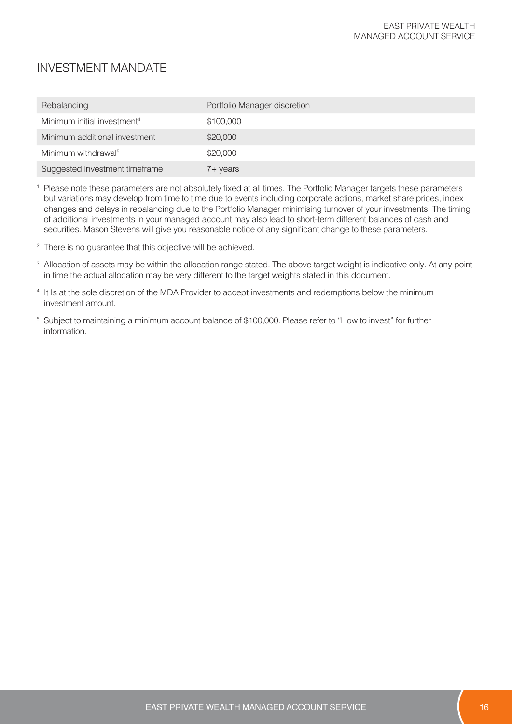| Rebalancing                             | Portfolio Manager discretion |
|-----------------------------------------|------------------------------|
| Minimum initial investment <sup>4</sup> | \$100,000                    |
| Minimum additional investment           | \$20,000                     |
| Minimum withdrawal <sup>5</sup>         | \$20,000                     |
| Suggested investment timeframe          | 7+ years                     |

<sup>1</sup> Please note these parameters are not absolutely fixed at all times. The Portfolio Manager targets these parameters but variations may develop from time to time due to events including corporate actions, market share prices, index changes and delays in rebalancing due to the Portfolio Manager minimising turnover of your investments. The timing of additional investments in your managed account may also lead to short-term different balances of cash and securities. Mason Stevens will give you reasonable notice of any significant change to these parameters.

- <sup>2</sup> There is no guarantee that this objective will be achieved.
- <sup>3</sup> Allocation of assets may be within the allocation range stated. The above target weight is indicative only. At any point in time the actual allocation may be very different to the target weights stated in this document.
- <sup>4</sup> It Is at the sole discretion of the MDA Provider to accept investments and redemptions below the minimum investment amount.
- <sup>5</sup> Subject to maintaining a minimum account balance of \$100,000. Please refer to "How to invest" for further information.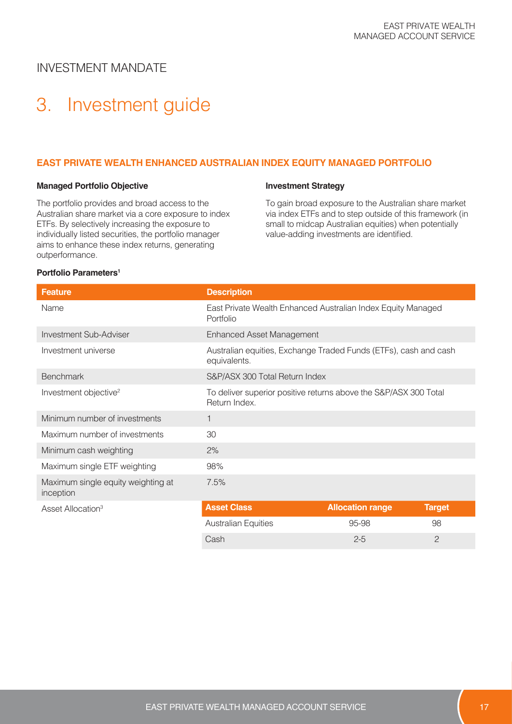# 3. Investment guide

#### **EAST PRIVATE WEALTH ENHANCED AUSTRALIAN INDEX EQUITY MANAGED PORTFOLIO**

#### **Managed Portfolio Objective**

The portfolio provides and broad access to the Australian share market via a core exposure to index ETFs. By selectively increasing the exposure to individually listed securities, the portfolio manager aims to enhance these index returns, generating outperformance.

#### **Investment Strategy**

To gain broad exposure to the Australian share market via index ETFs and to step outside of this framework (in small to midcap Australian equities) when potentially value-adding investments are identified.

#### **Portfolio Parameters<sup>1</sup>**

| <b>Feature</b>                                  | <b>Description</b>                                                                |                         |               |
|-------------------------------------------------|-----------------------------------------------------------------------------------|-------------------------|---------------|
| Name                                            | East Private Wealth Enhanced Australian Index Equity Managed<br>Portfolio         |                         |               |
| Investment Sub-Adviser                          | <b>Enhanced Asset Management</b>                                                  |                         |               |
| Investment universe                             | Australian equities, Exchange Traded Funds (ETFs), cash and cash<br>equivalents.  |                         |               |
| <b>Benchmark</b>                                | S&P/ASX 300 Total Return Index                                                    |                         |               |
| Investment objective <sup>2</sup>               | To deliver superior positive returns above the S&P/ASX 300 Total<br>Return Index. |                         |               |
| Minimum number of investments                   |                                                                                   |                         |               |
| Maximum number of investments                   | 30                                                                                |                         |               |
| Minimum cash weighting                          | 2%                                                                                |                         |               |
| Maximum single ETF weighting                    | 98%                                                                               |                         |               |
| Maximum single equity weighting at<br>inception | 7.5%                                                                              |                         |               |
| Asset Allocation <sup>3</sup>                   | <b>Asset Class</b>                                                                | <b>Allocation range</b> | <b>Target</b> |

| <b>Asset Class</b>         | <b>Allocation range</b> | <b>Target</b> |  |
|----------------------------|-------------------------|---------------|--|
| <b>Australian Equities</b> | 95-98                   | 98            |  |
| Cash                       | $2 - 5$                 |               |  |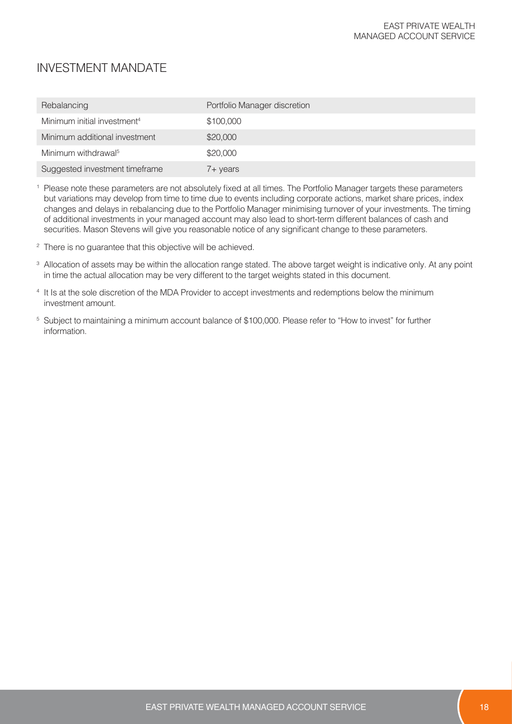| Rebalancing                             | Portfolio Manager discretion |
|-----------------------------------------|------------------------------|
| Minimum initial investment <sup>4</sup> | \$100,000                    |
| Minimum additional investment           | \$20,000                     |
| Minimum withdrawal <sup>5</sup>         | \$20,000                     |
| Suggested investment timeframe          | 7+ years                     |

<sup>1</sup> Please note these parameters are not absolutely fixed at all times. The Portfolio Manager targets these parameters but variations may develop from time to time due to events including corporate actions, market share prices, index changes and delays in rebalancing due to the Portfolio Manager minimising turnover of your investments. The timing of additional investments in your managed account may also lead to short-term different balances of cash and securities. Mason Stevens will give you reasonable notice of any significant change to these parameters.

- <sup>2</sup> There is no guarantee that this objective will be achieved.
- <sup>3</sup> Allocation of assets may be within the allocation range stated. The above target weight is indicative only. At any point in time the actual allocation may be very different to the target weights stated in this document.
- <sup>4</sup> It Is at the sole discretion of the MDA Provider to accept investments and redemptions below the minimum investment amount.
- <sup>5</sup> Subject to maintaining a minimum account balance of \$100,000. Please refer to "How to invest" for further information.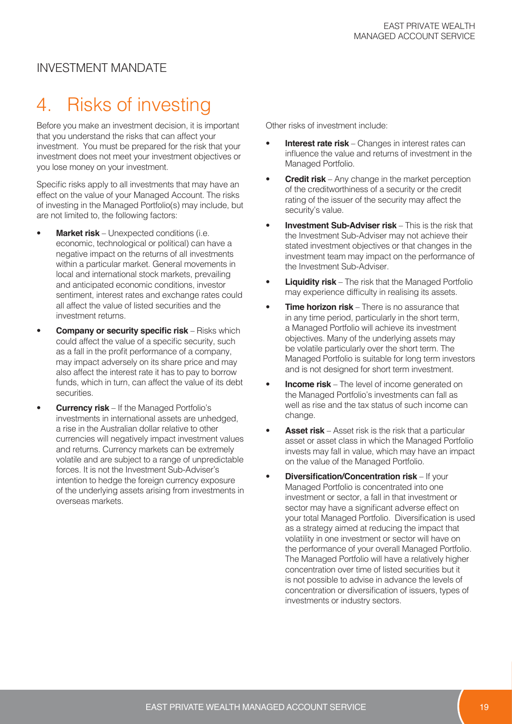## 4. Risks of investing

Before you make an investment decision, it is important that you understand the risks that can affect your investment. You must be prepared for the risk that your investment does not meet your investment objectives or you lose money on your investment.

Specific risks apply to all investments that may have an effect on the value of your Managed Account. The risks of investing in the Managed Portfolio(s) may include, but are not limited to, the following factors:

- **Market risk** Unexpected conditions (i.e. economic, technological or political) can have a negative impact on the returns of all investments within a particular market. General movements in local and international stock markets, prevailing and anticipated economic conditions, investor sentiment, interest rates and exchange rates could all affect the value of listed securities and the investment returns.
- **Company or security specific risk** Risks which could affect the value of a specific security, such as a fall in the profit performance of a company, may impact adversely on its share price and may also affect the interest rate it has to pay to borrow funds, which in turn, can affect the value of its debt securities.
- **Currency risk** If the Managed Portfolio's investments in international assets are unhedged, a rise in the Australian dollar relative to other currencies will negatively impact investment values and returns. Currency markets can be extremely volatile and are subject to a range of unpredictable forces. It is not the Investment Sub-Adviser's intention to hedge the foreign currency exposure of the underlying assets arising from investments in overseas markets.

Other risks of investment include:

- **Interest rate risk** Changes in interest rates can influence the value and returns of investment in the Managed Portfolio.
- **Credit risk** Any change in the market perception of the creditworthiness of a security or the credit rating of the issuer of the security may affect the security's value.
- **Investment Sub-Adviser risk** This is the risk that the Investment Sub-Adviser may not achieve their stated investment objectives or that changes in the investment team may impact on the performance of the Investment Sub-Adviser.
- **Liquidity risk** The risk that the Managed Portfolio may experience difficulty in realising its assets.
- **Time horizon risk** There is no assurance that in any time period, particularly in the short term, a Managed Portfolio will achieve its investment objectives. Many of the underlying assets may be volatile particularly over the short term. The Managed Portfolio is suitable for long term investors and is not designed for short term investment.
- **Income risk** The level of income generated on the Managed Portfolio's investments can fall as well as rise and the tax status of such income can change.
- **Asset risk** Asset risk is the risk that a particular asset or asset class in which the Managed Portfolio invests may fall in value, which may have an impact on the value of the Managed Portfolio.
- **Diversification/Concentration risk** If your Managed Portfolio is concentrated into one investment or sector, a fall in that investment or sector may have a significant adverse effect on your total Managed Portfolio. Diversification is used as a strategy aimed at reducing the impact that volatility in one investment or sector will have on the performance of your overall Managed Portfolio. The Managed Portfolio will have a relatively higher concentration over time of listed securities but it is not possible to advise in advance the levels of concentration or diversification of issuers, types of investments or industry sectors.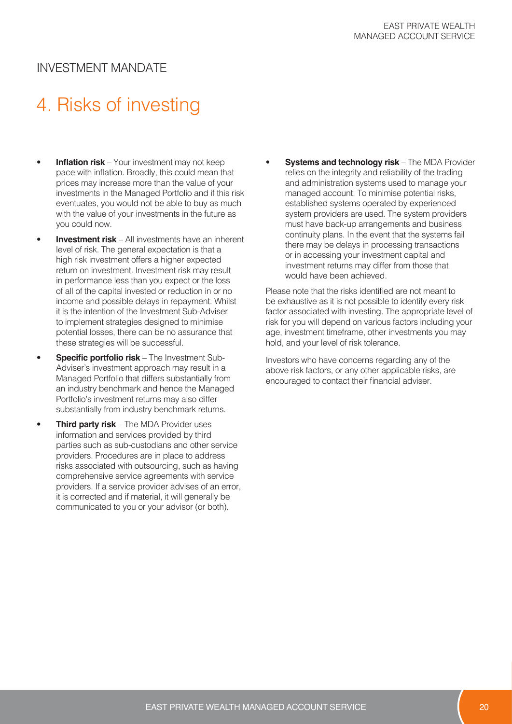# 4. Risks of investing

- **Inflation risk** Your investment may not keep pace with inflation. Broadly, this could mean that prices may increase more than the value of your investments in the Managed Portfolio and if this risk eventuates, you would not be able to buy as much with the value of your investments in the future as you could now.
- **Investment risk** All investments have an inherent level of risk. The general expectation is that a high risk investment offers a higher expected return on investment. Investment risk may result in performance less than you expect or the loss of all of the capital invested or reduction in or no income and possible delays in repayment. Whilst it is the intention of the Investment Sub-Adviser to implement strategies designed to minimise potential losses, there can be no assurance that these strategies will be successful.
- **Specific portfolio risk** The Investment Sub-Adviser's investment approach may result in a Managed Portfolio that differs substantially from an industry benchmark and hence the Managed Portfolio's investment returns may also differ substantially from industry benchmark returns.
- **Third party risk** The MDA Provider uses information and services provided by third parties such as sub-custodians and other service providers. Procedures are in place to address risks associated with outsourcing, such as having comprehensive service agreements with service providers. If a service provider advises of an error, it is corrected and if material, it will generally be communicated to you or your advisor (or both).

**Systems and technology risk** – The MDA Provider relies on the integrity and reliability of the trading and administration systems used to manage your managed account. To minimise potential risks, established systems operated by experienced system providers are used. The system providers must have back-up arrangements and business continuity plans. In the event that the systems fail there may be delays in processing transactions or in accessing your investment capital and investment returns may differ from those that would have been achieved.

Please note that the risks identified are not meant to be exhaustive as it is not possible to identify every risk factor associated with investing. The appropriate level of risk for you will depend on various factors including your age, investment timeframe, other investments you may hold, and your level of risk tolerance.

Investors who have concerns regarding any of the above risk factors, or any other applicable risks, are encouraged to contact their financial adviser.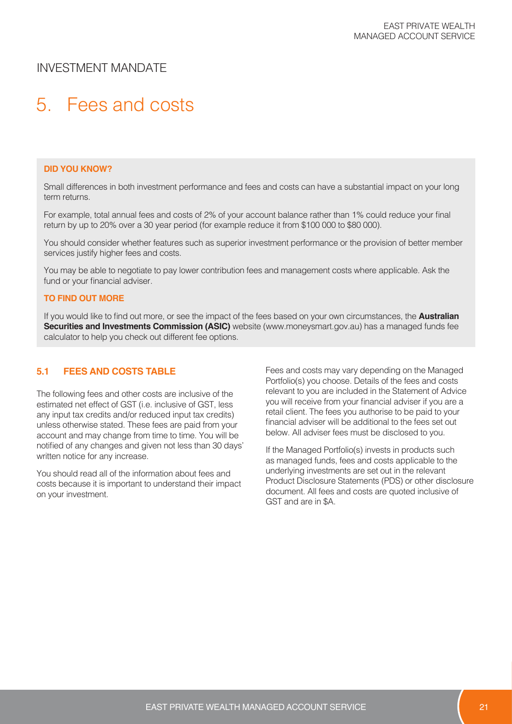# 5. Fees and costs

#### **DID YOU KNOW?**

Small differences in both investment performance and fees and costs can have a substantial impact on your long term returns.

For example, total annual fees and costs of 2% of your account balance rather than 1% could reduce your final return by up to 20% over a 30 year period (for example reduce it from \$100 000 to \$80 000).

You should consider whether features such as superior investment performance or the provision of better member services justify higher fees and costs.

You may be able to negotiate to pay lower contribution fees and management costs where applicable. Ask the fund or your financial adviser.

#### **TO FIND OUT MORE**

If you would like to find out more, or see the impact of the fees based on your own circumstances, the **Australian Securities and Investments Commission (ASIC)** website (www.moneysmart.gov.au) has a managed funds fee calculator to help you check out different fee options.

#### **5.1 FEES AND COSTS TABLE**

The following fees and other costs are inclusive of the estimated net effect of GST (i.e. inclusive of GST, less any input tax credits and/or reduced input tax credits) unless otherwise stated. These fees are paid from your account and may change from time to time. You will be notified of any changes and given not less than 30 days' written notice for any increase.

You should read all of the information about fees and costs because it is important to understand their impact on your investment.

Fees and costs may vary depending on the Managed Portfolio(s) you choose. Details of the fees and costs relevant to you are included in the Statement of Advice you will receive from your financial adviser if you are a retail client. The fees you authorise to be paid to your financial adviser will be additional to the fees set out below. All adviser fees must be disclosed to you.

If the Managed Portfolio(s) invests in products such as managed funds, fees and costs applicable to the underlying investments are set out in the relevant Product Disclosure Statements (PDS) or other disclosure document. All fees and costs are quoted inclusive of GST and are in \$A.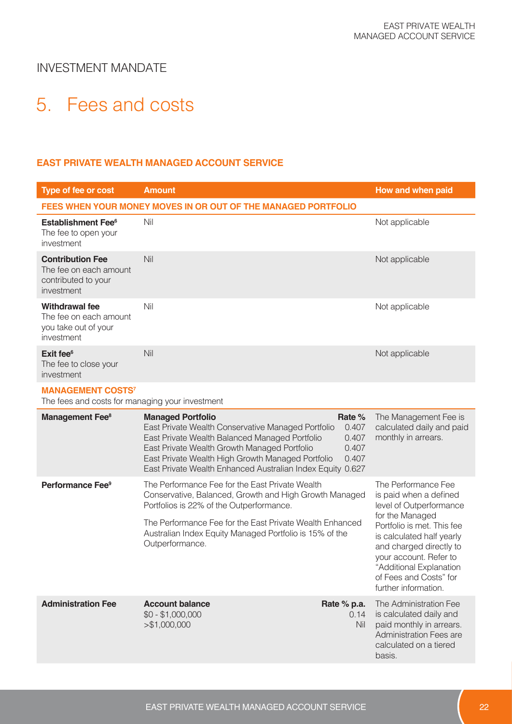# 5. Fees and costs

#### **EAST PRIVATE WEALTH MANAGED ACCOUNT SERVICE**

| <b>Type of fee or cost</b>                                                             | <b>Amount</b>                                                                                                                                                                                                                                                                                       |                                            | How and when paid                                                                                                                                                                                                                                                                        |
|----------------------------------------------------------------------------------------|-----------------------------------------------------------------------------------------------------------------------------------------------------------------------------------------------------------------------------------------------------------------------------------------------------|--------------------------------------------|------------------------------------------------------------------------------------------------------------------------------------------------------------------------------------------------------------------------------------------------------------------------------------------|
|                                                                                        | FEES WHEN YOUR MONEY MOVES IN OR OUT OF THE MANAGED PORTFOLIO                                                                                                                                                                                                                                       |                                            |                                                                                                                                                                                                                                                                                          |
| <b>Establishment Fee<sup>6</sup></b><br>The fee to open your<br>investment             | Nil                                                                                                                                                                                                                                                                                                 |                                            | Not applicable                                                                                                                                                                                                                                                                           |
| <b>Contribution Fee</b><br>The fee on each amount<br>contributed to your<br>investment | Nil                                                                                                                                                                                                                                                                                                 |                                            | Not applicable                                                                                                                                                                                                                                                                           |
| <b>Withdrawal fee</b><br>The fee on each amount<br>you take out of your<br>investment  | Nil                                                                                                                                                                                                                                                                                                 |                                            | Not applicable                                                                                                                                                                                                                                                                           |
| Exit fee <sup>6</sup><br>The fee to close your<br>investment                           | Nil                                                                                                                                                                                                                                                                                                 |                                            | Not applicable                                                                                                                                                                                                                                                                           |
| <b>MANAGEMENT COSTS<sup>7</sup></b><br>The fees and costs for managing your investment |                                                                                                                                                                                                                                                                                                     |                                            |                                                                                                                                                                                                                                                                                          |
| Management Fee <sup>8</sup>                                                            | <b>Managed Portfolio</b><br>East Private Wealth Conservative Managed Portfolio<br>East Private Wealth Balanced Managed Portfolio<br>East Private Wealth Growth Managed Portfolio<br>East Private Wealth High Growth Managed Portfolio<br>East Private Wealth Enhanced Australian Index Equity 0.627 | Rate %<br>0.407<br>0.407<br>0.407<br>0.407 | The Management Fee is<br>calculated daily and paid<br>monthly in arrears.                                                                                                                                                                                                                |
| Performance Fee <sup>9</sup>                                                           | The Performance Fee for the East Private Wealth<br>Conservative, Balanced, Growth and High Growth Managed<br>Portfolios is 22% of the Outperformance.<br>The Performance Fee for the East Private Wealth Enhanced<br>Australian Index Equity Managed Portfolio is 15% of the<br>Outperformance.     |                                            | The Performance Fee<br>is paid when a defined<br>level of Outperformance<br>for the Managed<br>Portfolio is met. This fee<br>is calculated half yearly<br>and charged directly to<br>your account. Refer to<br>"Additional Explanation<br>of Fees and Costs" for<br>further information. |
| <b>Administration Fee</b>                                                              | <b>Account balance</b><br>$$0 - $1,000,000$<br>> \$1,000,000                                                                                                                                                                                                                                        | Rate % p.a.<br>0.14<br>Nil                 | The Administration Fee<br>is calculated daily and<br>paid monthly in arrears.<br>Administration Fees are<br>calculated on a tiered<br>basis.                                                                                                                                             |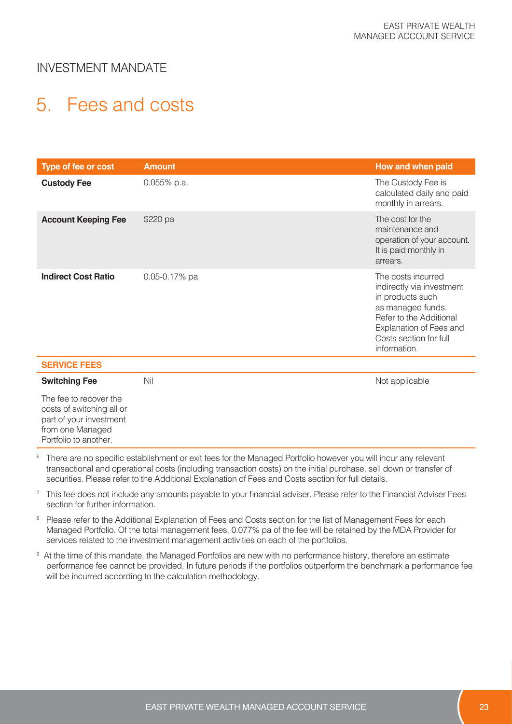# 5. Fees and costs

| <b>Type of fee or cost</b> | <b>Amount</b>     | How and when paid                                                                                                                                                                        |
|----------------------------|-------------------|------------------------------------------------------------------------------------------------------------------------------------------------------------------------------------------|
| <b>Custody Fee</b>         | $0.055\%$ p.a.    | The Custody Fee is<br>calculated daily and paid<br>monthly in arrears.                                                                                                                   |
| <b>Account Keeping Fee</b> | \$220 pa          | The cost for the<br>maintenance and<br>operation of your account.<br>It is paid monthly in<br>arrears.                                                                                   |
| <b>Indirect Cost Ratio</b> | $0.05 - 0.17%$ pa | The costs incurred<br>indirectly via investment<br>in products such<br>as managed funds.<br>Refer to the Additional<br>Explanation of Fees and<br>Costs section for full<br>information. |
| <b>SERVICE FEES</b>        |                   |                                                                                                                                                                                          |

| <b>Switching Fee</b>                                                                                                        | Nil | Not applicable |
|-----------------------------------------------------------------------------------------------------------------------------|-----|----------------|
| The fee to recover the<br>costs of switching all or<br>part of your investment<br>from one Managed<br>Portfolio to another. |     |                |

<sup>6</sup> There are no specific establishment or exit fees for the Managed Portfolio however you will incur any relevant transactional and operational costs (including transaction costs) on the initial purchase, sell down or transfer of securities. Please refer to the Additional Explanation of Fees and Costs section for full details.

<sup>7</sup> This fee does not include any amounts payable to your financial adviser. Please refer to the Financial Adviser Fees section for further information.

- <sup>8</sup> Please refer to the Additional Explanation of Fees and Costs section for the list of Management Fees for each Managed Portfolio. Of the total management fees, 0.077% pa of the fee will be retained by the MDA Provider for services related to the investment management activities on each of the portfolios.
- 9 At the time of this mandate, the Managed Portfolios are new with no performance history, therefore an estimate performance fee cannot be provided. In future periods if the portfolios outperform the benchmark a performance fee will be incurred according to the calculation methodology.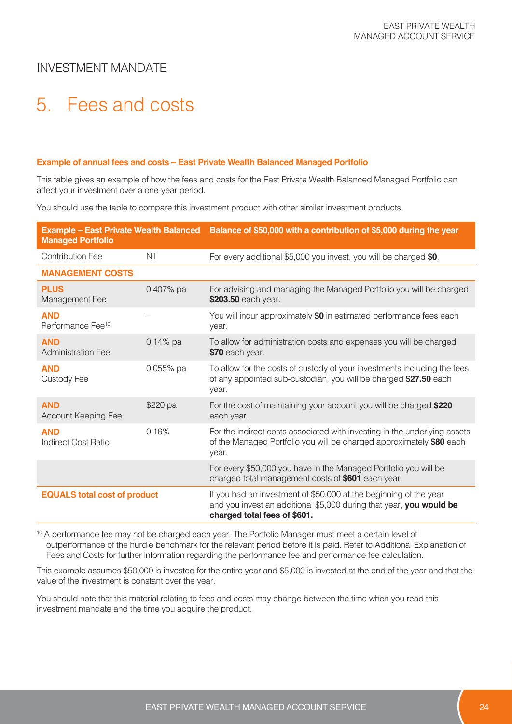# 5. Fees and costs

#### **Example of annual fees and costs – East Private Wealth Balanced Managed Portfolio**

This table gives an example of how the fees and costs for the East Private Wealth Balanced Managed Portfolio can affect your investment over a one-year period.

You should use the table to compare this investment product with other similar investment products.

| <b>Managed Portfolio</b>                    |            | Example – East Private Wealth Balanced Balance of \$50,000 with a contribution of \$5,000 during the year                                                                |
|---------------------------------------------|------------|--------------------------------------------------------------------------------------------------------------------------------------------------------------------------|
| <b>Contribution Fee</b>                     | Nil        | For every additional \$5,000 you invest, you will be charged \$0.                                                                                                        |
| <b>MANAGEMENT COSTS</b>                     |            |                                                                                                                                                                          |
| <b>PLUS</b><br>Management Fee               | 0.407% pa  | For advising and managing the Managed Portfolio you will be charged<br>\$203.50 each year.                                                                               |
| <b>AND</b><br>Performance Fee <sup>10</sup> |            | You will incur approximately \$0 in estimated performance fees each<br>year.                                                                                             |
| <b>AND</b><br><b>Administration Fee</b>     | $0.14%$ pa | To allow for administration costs and expenses you will be charged<br>\$70 each year.                                                                                    |
| <b>AND</b><br><b>Custody Fee</b>            | 0.055% pa  | To allow for the costs of custody of your investments including the fees<br>of any appointed sub-custodian, you will be charged \$27.50 each<br>year.                    |
| <b>AND</b><br>Account Keeping Fee           | \$220 pa   | For the cost of maintaining your account you will be charged \$220<br>each year.                                                                                         |
| <b>AND</b><br><b>Indirect Cost Ratio</b>    | 0.16%      | For the indirect costs associated with investing in the underlying assets<br>of the Managed Portfolio you will be charged approximately \$80 each<br>year.               |
|                                             |            | For every \$50,000 you have in the Managed Portfolio you will be<br>charged total management costs of \$601 each year.                                                   |
| <b>EQUALS total cost of product</b>         |            | If you had an investment of \$50,000 at the beginning of the year<br>and you invest an additional \$5,000 during that year, you would be<br>charged total fees of \$601. |

<sup>10</sup> A performance fee may not be charged each year. The Portfolio Manager must meet a certain level of outperformance of the hurdle benchmark for the relevant period before it is paid. Refer to Additional Explanation of Fees and Costs for further information regarding the performance fee and performance fee calculation.

This example assumes \$50,000 is invested for the entire year and \$5,000 is invested at the end of the year and that the value of the investment is constant over the year.

You should note that this material relating to fees and costs may change between the time when you read this investment mandate and the time you acquire the product.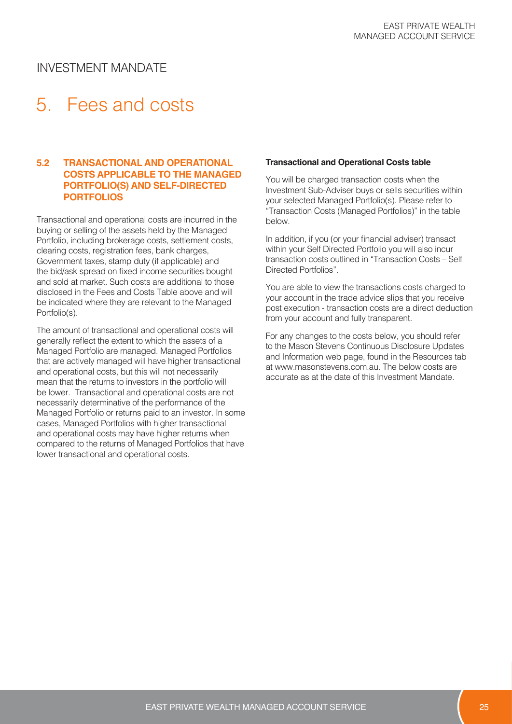# 5. Fees and costs

#### **5.2 TRANSACTIONAL AND OPERATIONAL COSTS APPLICABLE TO THE MANAGED PORTFOLIO(S) AND SELF-DIRECTED PORTFOLIOS**

Transactional and operational costs are incurred in the buying or selling of the assets held by the Managed Portfolio, including brokerage costs, settlement costs, clearing costs, registration fees, bank charges, Government taxes, stamp duty (if applicable) and the bid/ask spread on fixed income securities bought and sold at market. Such costs are additional to those disclosed in the Fees and Costs Table above and will be indicated where they are relevant to the Managed Portfolio(s).

The amount of transactional and operational costs will generally reflect the extent to which the assets of a Managed Portfolio are managed. Managed Portfolios that are actively managed will have higher transactional and operational costs, but this will not necessarily mean that the returns to investors in the portfolio will be lower. Transactional and operational costs are not necessarily determinative of the performance of the Managed Portfolio or returns paid to an investor. In some cases, Managed Portfolios with higher transactional and operational costs may have higher returns when compared to the returns of Managed Portfolios that have lower transactional and operational costs.

#### **Transactional and Operational Costs table**

You will be charged transaction costs when the Investment Sub-Adviser buys or sells securities within your selected Managed Portfolio(s). Please refer to "Transaction Costs (Managed Portfolios)" in the table below.

In addition, if you (or your financial adviser) transact within your Self Directed Portfolio you will also incur transaction costs outlined in "Transaction Costs – Self Directed Portfolios".

You are able to view the transactions costs charged to your account in the trade advice slips that you receive post execution - transaction costs are a direct deduction from your account and fully transparent.

For any changes to the costs below, you should refer to the Mason Stevens Continuous Disclosure Updates and Information web page, found in the Resources tab at www.masonstevens.com.au. The below costs are accurate as at the date of this Investment Mandate.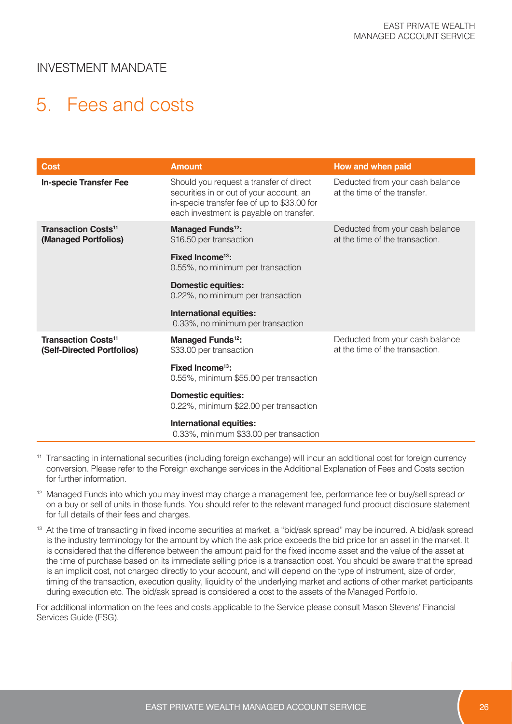# 5. Fees and costs

| <b>Cost</b>                                                         | <b>Amount</b>                                                                                                                                                                                                                                                                                                                                | How and when paid                                                  |
|---------------------------------------------------------------------|----------------------------------------------------------------------------------------------------------------------------------------------------------------------------------------------------------------------------------------------------------------------------------------------------------------------------------------------|--------------------------------------------------------------------|
| <b>In-specie Transfer Fee</b>                                       | Should you request a transfer of direct<br>securities in or out of your account, an<br>in-specie transfer fee of up to \$33.00 for<br>each investment is payable on transfer.                                                                                                                                                                | Deducted from your cash balance<br>at the time of the transfer.    |
| <b>Transaction Costs<sup>11</sup></b><br>(Managed Portfolios)       | Managed Funds <sup>12</sup> :<br>Deducted from your cash balance<br>at the time of the transaction.<br>\$16.50 per transaction<br>Fixed Income <sup>13</sup> :<br>0.55%, no minimum per transaction<br><b>Domestic equities:</b><br>0.22%, no minimum per transaction<br><b>International equities:</b><br>0.33%, no minimum per transaction |                                                                    |
| <b>Transaction Costs<sup>11</sup></b><br>(Self-Directed Portfolios) | Managed Funds <sup>12</sup> :<br>\$33.00 per transaction<br>Fixed Income <sup>13</sup> :<br>0.55%, minimum \$55.00 per transaction<br><b>Domestic equities:</b><br>0.22%, minimum \$22.00 per transaction<br>International equities:<br>0.33%, minimum \$33.00 per transaction                                                               | Deducted from your cash balance<br>at the time of the transaction. |

- <sup>11</sup> Transacting in international securities (including foreign exchange) will incur an additional cost for foreign currency conversion. Please refer to the Foreign exchange services in the Additional Explanation of Fees and Costs section for further information.
- <sup>12</sup> Managed Funds into which you may invest may charge a management fee, performance fee or buy/sell spread or on a buy or sell of units in those funds. You should refer to the relevant managed fund product disclosure statement for full details of their fees and charges.
- <sup>13</sup> At the time of transacting in fixed income securities at market, a "bid/ask spread" may be incurred. A bid/ask spread is the industry terminology for the amount by which the ask price exceeds the bid price for an asset in the market. It is considered that the difference between the amount paid for the fixed income asset and the value of the asset at the time of purchase based on its immediate selling price is a transaction cost. You should be aware that the spread is an implicit cost, not charged directly to your account, and will depend on the type of instrument, size of order, timing of the transaction, execution quality, liquidity of the underlying market and actions of other market participants during execution etc. The bid/ask spread is considered a cost to the assets of the Managed Portfolio.

For additional information on the fees and costs applicable to the Service please consult Mason Stevens' Financial Services Guide (FSG).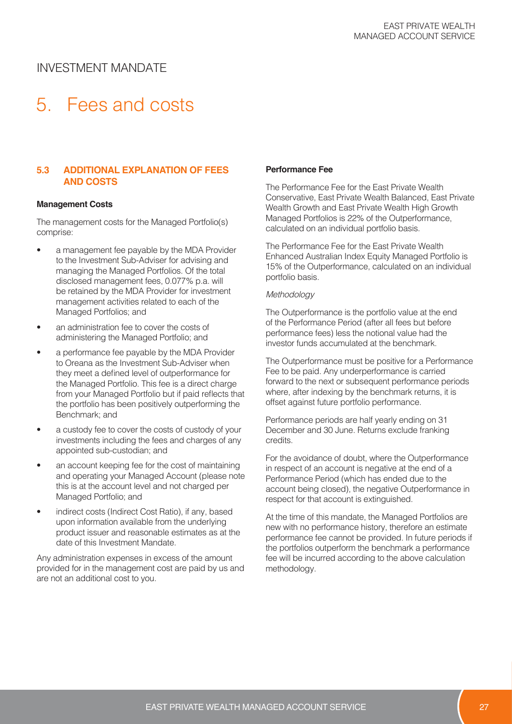# 5. Fees and costs

#### **5.3 ADDITIONAL EXPLANATION OF FEES AND COSTS**

#### **Management Costs**

The management costs for the Managed Portfolio(s) comprise:

- a management fee payable by the MDA Provider to the Investment Sub-Adviser for advising and managing the Managed Portfolios. Of the total disclosed management fees, 0.077% p.a. will be retained by the MDA Provider for investment management activities related to each of the Managed Portfolios; and
- an administration fee to cover the costs of administering the Managed Portfolio; and
- a performance fee payable by the MDA Provider to Oreana as the Investment Sub-Adviser when they meet a defined level of outperformance for the Managed Portfolio. This fee is a direct charge from your Managed Portfolio but if paid reflects that the portfolio has been positively outperforming the Benchmark; and
- a custody fee to cover the costs of custody of your investments including the fees and charges of any appointed sub-custodian; and
- an account keeping fee for the cost of maintaining and operating your Managed Account (please note this is at the account level and not charged per Managed Portfolio; and
- indirect costs (Indirect Cost Ratio), if any, based upon information available from the underlying product issuer and reasonable estimates as at the date of this Investment Mandate.

Any administration expenses in excess of the amount provided for in the management cost are paid by us and are not an additional cost to you.

#### **Performance Fee**

The Performance Fee for the East Private Wealth Conservative, East Private Wealth Balanced, East Private Wealth Growth and East Private Wealth High Growth Managed Portfolios is 22% of the Outperformance, calculated on an individual portfolio basis.

The Performance Fee for the East Private Wealth Enhanced Australian Index Equity Managed Portfolio is 15% of the Outperformance, calculated on an individual portfolio basis.

#### *Methodology*

The Outperformance is the portfolio value at the end of the Performance Period (after all fees but before performance fees) less the notional value had the investor funds accumulated at the benchmark.

The Outperformance must be positive for a Performance Fee to be paid. Any underperformance is carried forward to the next or subsequent performance periods where, after indexing by the benchmark returns, it is offset against future portfolio performance.

Performance periods are half yearly ending on 31 December and 30 June. Returns exclude franking credits.

For the avoidance of doubt, where the Outperformance in respect of an account is negative at the end of a Performance Period (which has ended due to the account being closed), the negative Outperformance in respect for that account is extinguished.

At the time of this mandate, the Managed Portfolios are new with no performance history, therefore an estimate performance fee cannot be provided. In future periods if the portfolios outperform the benchmark a performance fee will be incurred according to the above calculation methodology.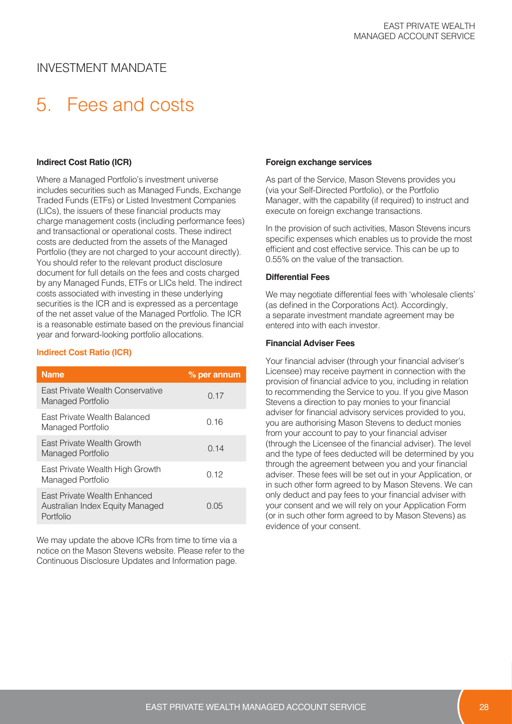# 5. Fees and costs

#### **Indirect Cost Ratio (ICR)**

Where a Managed Portfolio's investment universe includes securities such as Managed Funds, Exchange Traded Funds (ETFs) or Listed Investment Companies (LICs), the issuers of these financial products may charge management costs (including performance fees) and transactional or operational costs. These indirect costs are deducted from the assets of the Managed Portfolio (they are not charged to your account directly). You should refer to the relevant product disclosure document for full details on the fees and costs charged by any Managed Funds, ETFs or LICs held. The indirect costs associated with investing in these underlying securities is the ICR and is expressed as a percentage of the net asset value of the Managed Portfolio. The ICR is a reasonable estimate based on the previous financial year and forward-looking portfolio allocations.

#### **Indirect Cost Ratio (ICR)**

| <b>Name</b>                                                                         | % per annum |
|-------------------------------------------------------------------------------------|-------------|
| <b>Fast Private Wealth Conservative</b><br>Managed Portfolio                        | 0.17        |
| East Private Wealth Balanced<br>Managed Portfolio                                   | 0.16        |
| <b>Fast Private Wealth Growth</b><br>Managed Portfolio                              | 0.14        |
| East Private Wealth High Growth<br>Managed Portfolio                                | 0.12        |
| <b>Fast Private Wealth Enhanced</b><br>Australian Index Equity Managed<br>Portfolio | 0.05        |

We may update the above ICRs from time to time via a notice on the Mason Stevens website. Please refer to the Continuous Disclosure Updates and Information page.

#### **Foreign exchange services**

As part of the Service, Mason Stevens provides you (via your Self-Directed Portfolio), or the Portfolio Manager, with the capability (if required) to instruct and execute on foreign exchange transactions.

In the provision of such activities, Mason Stevens incurs specific expenses which enables us to provide the most efficient and cost effective service. This can be up to 0.55% on the value of the transaction.

#### **Differential Fees**

We may negotiate differential fees with 'wholesale clients' (as defined in the Corporations Act). Accordingly, a separate investment mandate agreement may be entered into with each investor.

#### **Financial Adviser Fees**

Your financial adviser (through your financial adviser's Licensee) may receive payment in connection with the provision of financial advice to you, including in relation to recommending the Service to you. If you give Mason Stevens a direction to pay monies to your financial adviser for financial advisory services provided to you, you are authorising Mason Stevens to deduct monies from your account to pay to your financial adviser (through the Licensee of the financial adviser). The level and the type of fees deducted will be determined by you through the agreement between you and your financial adviser. These fees will be set out in your Application, or in such other form agreed to by Mason Stevens. We can only deduct and pay fees to your financial adviser with your consent and we will rely on your Application Form (or in such other form agreed to by Mason Stevens) as evidence of your consent.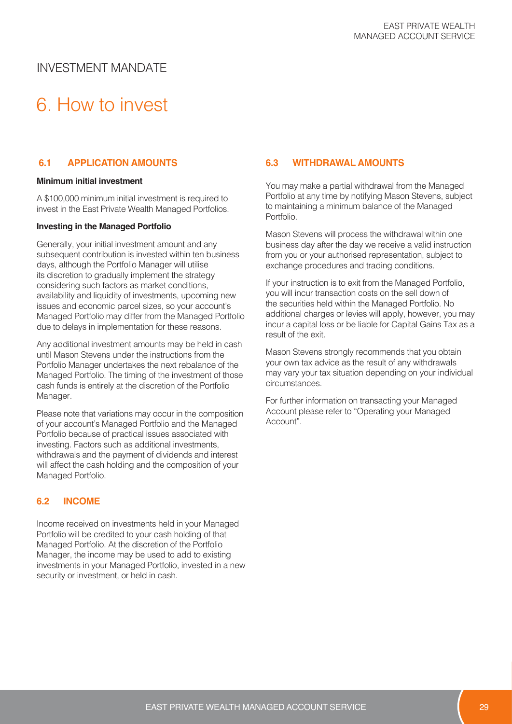# 6. How to invest

#### **6.1 APPLICATION AMOUNTS**

#### **Minimum initial investment**

A \$100,000 minimum initial investment is required to invest in the East Private Wealth Managed Portfolios.

#### **Investing in the Managed Portfolio**

Generally, your initial investment amount and any subsequent contribution is invested within ten business days, although the Portfolio Manager will utilise its discretion to gradually implement the strategy considering such factors as market conditions, availability and liquidity of investments, upcoming new issues and economic parcel sizes, so your account's Managed Portfolio may differ from the Managed Portfolio due to delays in implementation for these reasons.

Any additional investment amounts may be held in cash until Mason Stevens under the instructions from the Portfolio Manager undertakes the next rebalance of the Managed Portfolio. The timing of the investment of those cash funds is entirely at the discretion of the Portfolio Manager.

Please note that variations may occur in the composition of your account's Managed Portfolio and the Managed Portfolio because of practical issues associated with investing. Factors such as additional investments, withdrawals and the payment of dividends and interest will affect the cash holding and the composition of your Managed Portfolio.

#### **6.2 INCOME**

Income received on investments held in your Managed Portfolio will be credited to your cash holding of that Managed Portfolio. At the discretion of the Portfolio Manager, the income may be used to add to existing investments in your Managed Portfolio, invested in a new security or investment, or held in cash.

#### **6.3 WITHDRAWAL AMOUNTS**

You may make a partial withdrawal from the Managed Portfolio at any time by notifying Mason Stevens, subject to maintaining a minimum balance of the Managed Portfolio.

Mason Stevens will process the withdrawal within one business day after the day we receive a valid instruction from you or your authorised representation, subject to exchange procedures and trading conditions.

If your instruction is to exit from the Managed Portfolio, you will incur transaction costs on the sell down of the securities held within the Managed Portfolio. No additional charges or levies will apply, however, you may incur a capital loss or be liable for Capital Gains Tax as a result of the exit.

Mason Stevens strongly recommends that you obtain your own tax advice as the result of any withdrawals may vary your tax situation depending on your individual circumstances.

For further information on transacting your Managed Account please refer to "Operating your Managed Account".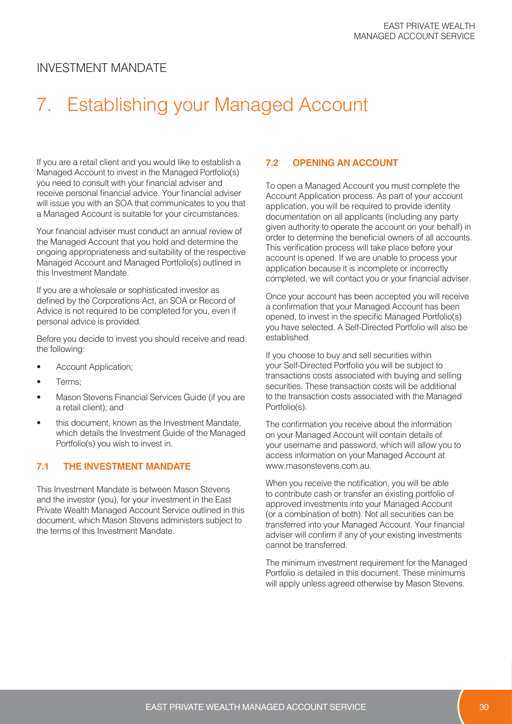# 7. Establishing your Managed Account

If you are a retail client and you would like to establish a Managed Account to invest in the Managed Portfolio(s) you need to consult with your financial adviser and receive personal financial advice. Your financial adviser will issue you with an SOA that communicates to you that a Managed Account is suitable for your circumstances.

Your financial adviser must conduct an annual review of the Managed Account that you hold and determine the ongoing appropriateness and suitability of the respective Managed Account and Managed Portfolio(s) outlined in this Investment Mandate.

If you are a wholesale or sophisticated investor as defined by the Corporations Act, an SOA or Record of Advice is not required to be completed for you, even if personal advice is provided.

Before you decide to invest you should receive and read the following:

- Account Application;
- Terms:
- Mason Stevens Financial Services Guide (if you are a retail client); and
- this document, known as the Investment Mandate, which details the Investment Guide of the Managed Portfolio(s) you wish to invest in.

#### **7.1 THE INVESTMENT MANDATE**

This Investment Mandate is between Mason Stevens and the investor (you), for your investment in the East Private Wealth Managed Account Service outlined in this document, which Mason Stevens administers subject to the terms of this Investment Mandate.

#### **7.2 OPENING AN ACCOUNT**

To open a Managed Account you must complete the Account Application process. As part of your account application, you will be required to provide identity documentation on all applicants (including any party given authority to operate the account on your behalf) in order to determine the beneficial owners of all accounts. This verification process will take place before your account is opened. If we are unable to process your application because it is incomplete or incorrectly completed, we will contact you or your financial adviser.

Once your account has been accepted you will receive a confirmation that your Managed Account has been opened, to invest in the specific Managed Portfolio(s) you have selected. A Self-Directed Portfolio will also be established.

If you choose to buy and sell securities within your Self-Directed Portfolio you will be subject to transactions costs associated with buying and selling securities. These transaction costs will be additional to the transaction costs associated with the Managed Portfolio(s).

The confirmation you receive about the information on your Managed Account will contain details of your username and password, which will allow you to access information on your Managed Account at www.masonstevens.com.au.

When you receive the notification, you will be able to contribute cash or transfer an existing portfolio of approved investments into your Managed Account (or a combination of both). Not all securities can be transferred into your Managed Account. Your financial adviser will confirm if any of your existing investments cannot be transferred.

The minimum investment requirement for the Managed Portfolio is detailed in this document. These minimums will apply unless agreed otherwise by Mason Stevens.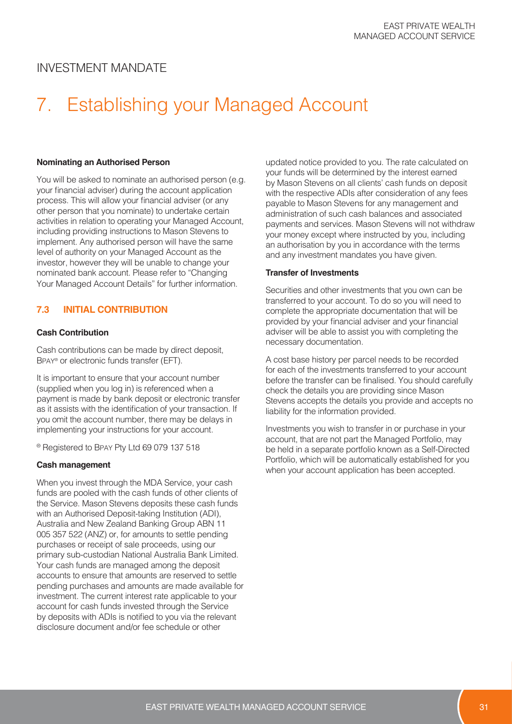# 7. Establishing your Managed Account

#### **Nominating an Authorised Person**

You will be asked to nominate an authorised person (e.g. your financial adviser) during the account application process. This will allow your financial adviser (or any other person that you nominate) to undertake certain activities in relation to operating your Managed Account, including providing instructions to Mason Stevens to implement. Any authorised person will have the same level of authority on your Managed Account as the investor, however they will be unable to change your nominated bank account. Please refer to "Changing Your Managed Account Details" for further information.

#### **7.3 INITIAL CONTRIBUTION**

#### **Cash Contribution**

Cash contributions can be made by direct deposit, BPAY® or electronic funds transfer (EFT).

It is important to ensure that your account number (supplied when you log in) is referenced when a payment is made by bank deposit or electronic transfer as it assists with the identification of your transaction. If you omit the account number, there may be delays in implementing your instructions for your account.

® Registered to BPAY Pty Ltd 69 079 137 518

#### **Cash management**

When you invest through the MDA Service, your cash funds are pooled with the cash funds of other clients of the Service. Mason Stevens deposits these cash funds with an Authorised Deposit-taking Institution (ADI), Australia and New Zealand Banking Group ABN 11 005 357 522 (ANZ) or, for amounts to settle pending purchases or receipt of sale proceeds, using our primary sub-custodian National Australia Bank Limited. Your cash funds are managed among the deposit accounts to ensure that amounts are reserved to settle pending purchases and amounts are made available for investment. The current interest rate applicable to your account for cash funds invested through the Service by deposits with ADIs is notified to you via the relevant disclosure document and/or fee schedule or other

updated notice provided to you. The rate calculated on your funds will be determined by the interest earned by Mason Stevens on all clients' cash funds on deposit with the respective ADIs after consideration of any fees payable to Mason Stevens for any management and administration of such cash balances and associated payments and services. Mason Stevens will not withdraw your money except where instructed by you, including an authorisation by you in accordance with the terms and any investment mandates you have given.

#### **Transfer of Investments**

Securities and other investments that you own can be transferred to your account. To do so you will need to complete the appropriate documentation that will be provided by your financial adviser and your financial adviser will be able to assist you with completing the necessary documentation.

A cost base history per parcel needs to be recorded for each of the investments transferred to your account before the transfer can be finalised. You should carefully check the details you are providing since Mason Stevens accepts the details you provide and accepts no liability for the information provided.

Investments you wish to transfer in or purchase in your account, that are not part the Managed Portfolio, may be held in a separate portfolio known as a Self-Directed Portfolio, which will be automatically established for you when your account application has been accepted.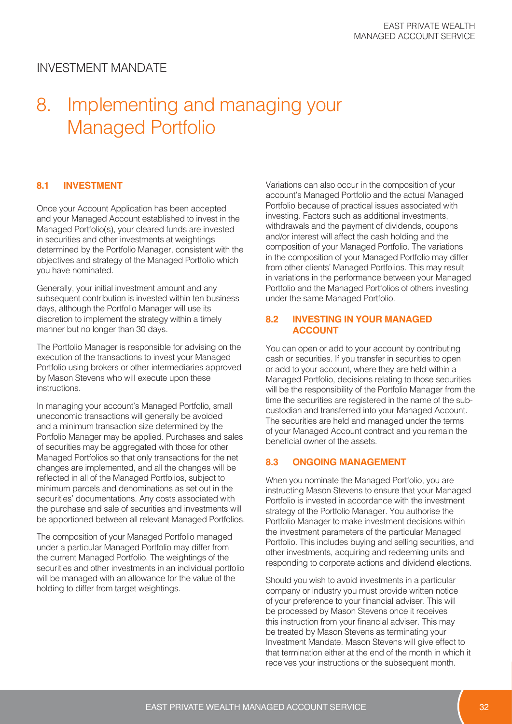## 8. Implementing and managing your Managed Portfolio

#### **8.1 INVESTMENT**

Once your Account Application has been accepted and your Managed Account established to invest in the Managed Portfolio(s), your cleared funds are invested in securities and other investments at weightings determined by the Portfolio Manager, consistent with the objectives and strategy of the Managed Portfolio which you have nominated.

Generally, your initial investment amount and any subsequent contribution is invested within ten business days, although the Portfolio Manager will use its discretion to implement the strategy within a timely manner but no longer than 30 days.

The Portfolio Manager is responsible for advising on the execution of the transactions to invest your Managed Portfolio using brokers or other intermediaries approved by Mason Stevens who will execute upon these instructions.

In managing your account's Managed Portfolio, small uneconomic transactions will generally be avoided and a minimum transaction size determined by the Portfolio Manager may be applied. Purchases and sales of securities may be aggregated with those for other Managed Portfolios so that only transactions for the net changes are implemented, and all the changes will be reflected in all of the Managed Portfolios, subject to minimum parcels and denominations as set out in the securities' documentations. Any costs associated with the purchase and sale of securities and investments will be apportioned between all relevant Managed Portfolios.

The composition of your Managed Portfolio managed under a particular Managed Portfolio may differ from the current Managed Portfolio. The weightings of the securities and other investments in an individual portfolio will be managed with an allowance for the value of the holding to differ from target weightings.

Variations can also occur in the composition of your account's Managed Portfolio and the actual Managed Portfolio because of practical issues associated with investing. Factors such as additional investments, withdrawals and the payment of dividends, coupons and/or interest will affect the cash holding and the composition of your Managed Portfolio. The variations in the composition of your Managed Portfolio may differ from other clients' Managed Portfolios. This may result in variations in the performance between your Managed Portfolio and the Managed Portfolios of others investing under the same Managed Portfolio.

#### **8.2 INVESTING IN YOUR MANAGED ACCOUNT**

You can open or add to your account by contributing cash or securities. If you transfer in securities to open or add to your account, where they are held within a Managed Portfolio, decisions relating to those securities will be the responsibility of the Portfolio Manager from the time the securities are registered in the name of the subcustodian and transferred into your Managed Account. The securities are held and managed under the terms of your Managed Account contract and you remain the beneficial owner of the assets.

#### **8.3 ONGOING MANAGEMENT**

When you nominate the Managed Portfolio, you are instructing Mason Stevens to ensure that your Managed Portfolio is invested in accordance with the investment strategy of the Portfolio Manager. You authorise the Portfolio Manager to make investment decisions within the investment parameters of the particular Managed Portfolio. This includes buying and selling securities, and other investments, acquiring and redeeming units and responding to corporate actions and dividend elections.

Should you wish to avoid investments in a particular company or industry you must provide written notice of your preference to your financial adviser. This will be processed by Mason Stevens once it receives this instruction from your financial adviser. This may be treated by Mason Stevens as terminating your Investment Mandate. Mason Stevens will give effect to that termination either at the end of the month in which it receives your instructions or the subsequent month.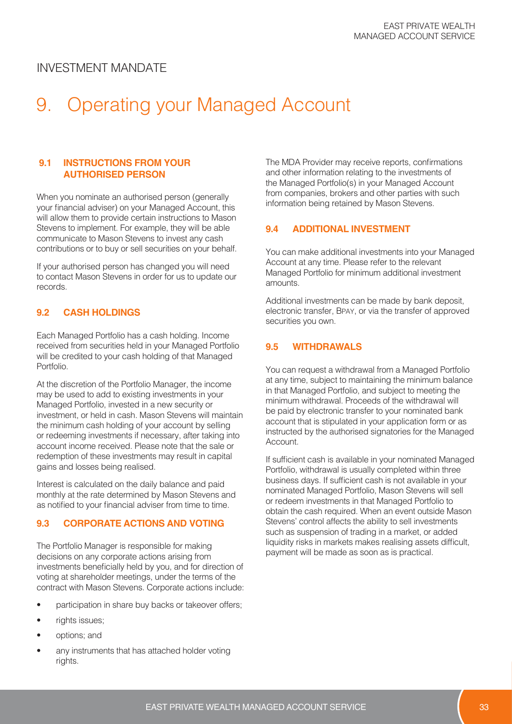# 9. Operating your Managed Account

#### **9.1 INSTRUCTIONS FROM YOUR AUTHORISED PERSON**

When you nominate an authorised person (generally your financial adviser) on your Managed Account, this will allow them to provide certain instructions to Mason Stevens to implement. For example, they will be able communicate to Mason Stevens to invest any cash contributions or to buy or sell securities on your behalf.

If your authorised person has changed you will need to contact Mason Stevens in order for us to update our records.

#### **9.2 CASH HOLDINGS**

Each Managed Portfolio has a cash holding. Income received from securities held in your Managed Portfolio will be credited to your cash holding of that Managed Portfolio.

At the discretion of the Portfolio Manager, the income may be used to add to existing investments in your Managed Portfolio, invested in a new security or investment, or held in cash. Mason Stevens will maintain the minimum cash holding of your account by selling or redeeming investments if necessary, after taking into account income received. Please note that the sale or redemption of these investments may result in capital gains and losses being realised.

Interest is calculated on the daily balance and paid monthly at the rate determined by Mason Stevens and as notified to your financial adviser from time to time.

#### **9.3 CORPORATE ACTIONS AND VOTING**

The Portfolio Manager is responsible for making decisions on any corporate actions arising from investments beneficially held by you, and for direction of voting at shareholder meetings, under the terms of the contract with Mason Stevens. Corporate actions include:

- participation in share buy backs or takeover offers;
- rights issues;
- options; and
- any instruments that has attached holder voting rights.

The MDA Provider may receive reports, confirmations and other information relating to the investments of the Managed Portfolio(s) in your Managed Account from companies, brokers and other parties with such information being retained by Mason Stevens.

#### **9.4 ADDITIONAL INVESTMENT**

You can make additional investments into your Managed Account at any time. Please refer to the relevant Managed Portfolio for minimum additional investment amounts.

Additional investments can be made by bank deposit, electronic transfer, BPAY, or via the transfer of approved securities you own.

#### **9.5 WITHDRAWALS**

You can request a withdrawal from a Managed Portfolio at any time, subject to maintaining the minimum balance in that Managed Portfolio, and subject to meeting the minimum withdrawal. Proceeds of the withdrawal will be paid by electronic transfer to your nominated bank account that is stipulated in your application form or as instructed by the authorised signatories for the Managed Account.

If sufficient cash is available in your nominated Managed Portfolio, withdrawal is usually completed within three business days. If sufficient cash is not available in your nominated Managed Portfolio, Mason Stevens will sell or redeem investments in that Managed Portfolio to obtain the cash required. When an event outside Mason Stevens' control affects the ability to sell investments such as suspension of trading in a market, or added liquidity risks in markets makes realising assets difficult, payment will be made as soon as is practical.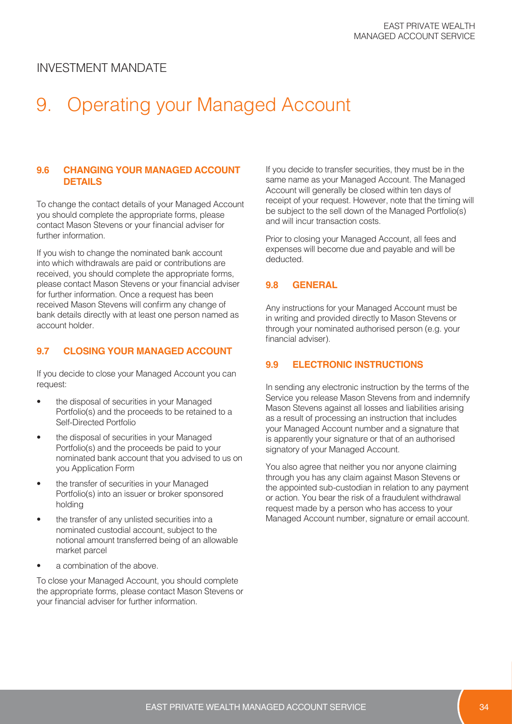# 9. Operating your Managed Account

#### **9.6 CHANGING YOUR MANAGED ACCOUNT DETAILS**

To change the contact details of your Managed Account you should complete the appropriate forms, please contact Mason Stevens or your financial adviser for further information.

If you wish to change the nominated bank account into which withdrawals are paid or contributions are received, you should complete the appropriate forms, please contact Mason Stevens or your financial adviser for further information. Once a request has been received Mason Stevens will confirm any change of bank details directly with at least one person named as account holder.

#### **9.7 CLOSING YOUR MANAGED ACCOUNT**

If you decide to close your Managed Account you can request:

- the disposal of securities in your Managed Portfolio(s) and the proceeds to be retained to a Self-Directed Portfolio
- the disposal of securities in your Managed Portfolio(s) and the proceeds be paid to your nominated bank account that you advised to us on you Application Form
- the transfer of securities in your Managed Portfolio(s) into an issuer or broker sponsored holding
- the transfer of any unlisted securities into a nominated custodial account, subject to the notional amount transferred being of an allowable market parcel
- a combination of the above.

To close your Managed Account, you should complete the appropriate forms, please contact Mason Stevens or your financial adviser for further information.

If you decide to transfer securities, they must be in the same name as your Managed Account. The Managed Account will generally be closed within ten days of receipt of your request. However, note that the timing will be subject to the sell down of the Managed Portfolio(s) and will incur transaction costs.

Prior to closing your Managed Account, all fees and expenses will become due and payable and will be deducted.

#### **9.8 GENERAL**

Any instructions for your Managed Account must be in writing and provided directly to Mason Stevens or through your nominated authorised person (e.g. your financial adviser).

#### **9.9 ELECTRONIC INSTRUCTIONS**

In sending any electronic instruction by the terms of the Service you release Mason Stevens from and indemnify Mason Stevens against all losses and liabilities arising as a result of processing an instruction that includes your Managed Account number and a signature that is apparently your signature or that of an authorised signatory of your Managed Account.

You also agree that neither you nor anyone claiming through you has any claim against Mason Stevens or the appointed sub-custodian in relation to any payment or action. You bear the risk of a fraudulent withdrawal request made by a person who has access to your Managed Account number, signature or email account.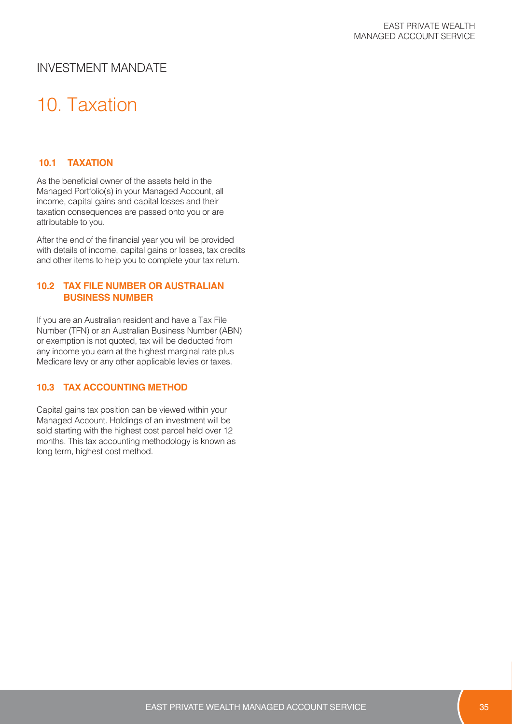# 10. Taxation

#### **10.1 TAXATION**

As the beneficial owner of the assets held in the Managed Portfolio(s) in your Managed Account, all income, capital gains and capital losses and their taxation consequences are passed onto you or are attributable to you.

After the end of the financial year you will be provided with details of income, capital gains or losses, tax credits and other items to help you to complete your tax return.

#### **10.2 TAX FILE NUMBER OR AUSTRALIAN BUSINESS NUMBER**

If you are an Australian resident and have a Tax File Number (TFN) or an Australian Business Number (ABN) or exemption is not quoted, tax will be deducted from any income you earn at the highest marginal rate plus Medicare levy or any other applicable levies or taxes.

#### **10.3 TAX ACCOUNTING METHOD**

Capital gains tax position can be viewed within your Managed Account. Holdings of an investment will be sold starting with the highest cost parcel held over 12 months. This tax accounting methodology is known as long term, highest cost method.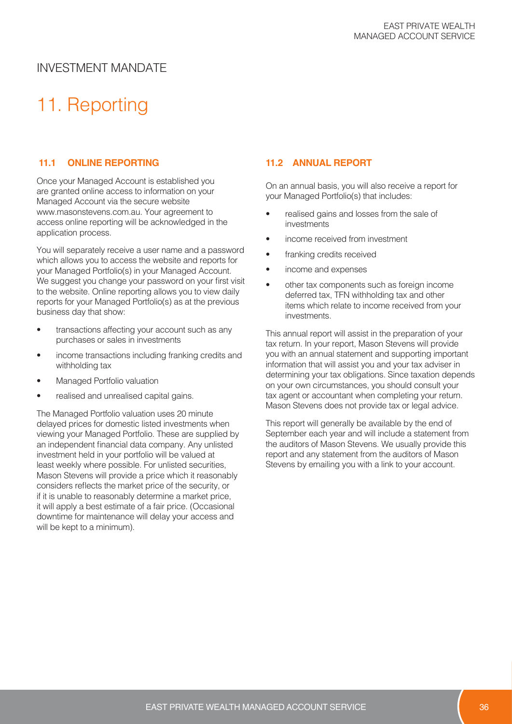# 11. Reporting

#### **11.1 ONLINE REPORTING**

Once your Managed Account is established you are granted online access to information on your Managed Account via the secure website www.masonstevens.com.au. Your agreement to access online reporting will be acknowledged in the application process.

You will separately receive a user name and a password which allows you to access the website and reports for your Managed Portfolio(s) in your Managed Account. We suggest you change your password on your first visit to the website. Online reporting allows you to view daily reports for your Managed Portfolio(s) as at the previous business day that show:

- transactions affecting your account such as any purchases or sales in investments
- income transactions including franking credits and withholding tax
- Managed Portfolio valuation
- realised and unrealised capital gains.

The Managed Portfolio valuation uses 20 minute delayed prices for domestic listed investments when viewing your Managed Portfolio. These are supplied by an independent financial data company. Any unlisted investment held in your portfolio will be valued at least weekly where possible. For unlisted securities, Mason Stevens will provide a price which it reasonably considers reflects the market price of the security, or if it is unable to reasonably determine a market price, it will apply a best estimate of a fair price. (Occasional downtime for maintenance will delay your access and will be kept to a minimum).

#### **11.2 ANNUAL REPORT**

On an annual basis, you will also receive a report for your Managed Portfolio(s) that includes:

- realised gains and losses from the sale of investments
- income received from investment
- franking credits received
- income and expenses
- other tax components such as foreign income deferred tax, TFN withholding tax and other items which relate to income received from your investments.

This annual report will assist in the preparation of your tax return. In your report, Mason Stevens will provide you with an annual statement and supporting important information that will assist you and your tax adviser in determining your tax obligations. Since taxation depends on your own circumstances, you should consult your tax agent or accountant when completing your return. Mason Stevens does not provide tax or legal advice.

This report will generally be available by the end of September each year and will include a statement from the auditors of Mason Stevens. We usually provide this report and any statement from the auditors of Mason Stevens by emailing you with a link to your account.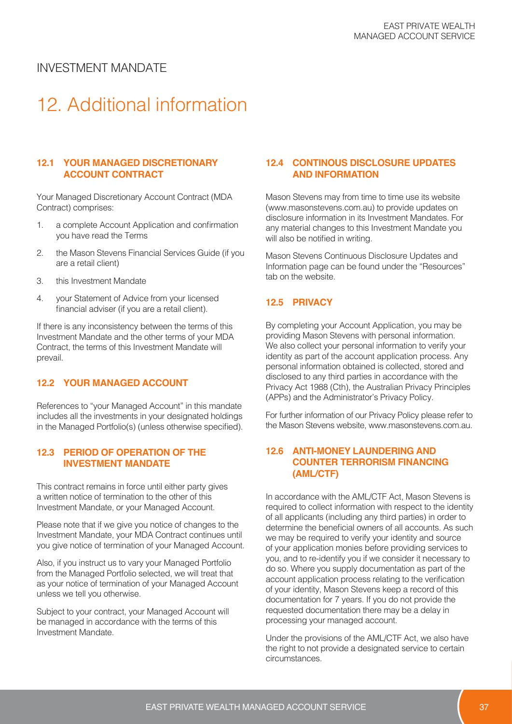# 12. Additional information

#### **12.1 YOUR MANAGED DISCRETIONARY ACCOUNT CONTRACT**

Your Managed Discretionary Account Contract (MDA Contract) comprises:

- 1. a complete Account Application and confirmation you have read the Terms
- 2. the Mason Stevens Financial Services Guide (if you are a retail client)
- 3. this Investment Mandate
- 4. your Statement of Advice from your licensed financial adviser (if you are a retail client).

If there is any inconsistency between the terms of this Investment Mandate and the other terms of your MDA Contract, the terms of this Investment Mandate will prevail.

#### **12.2 YOUR MANAGED ACCOUNT**

References to "your Managed Account" in this mandate includes all the investments in your designated holdings in the Managed Portfolio(s) (unless otherwise specified).

#### **12.3 PERIOD OF OPERATION OF THE INVESTMENT MANDATE**

This contract remains in force until either party gives a written notice of termination to the other of this Investment Mandate, or your Managed Account.

Please note that if we give you notice of changes to the Investment Mandate, your MDA Contract continues until you give notice of termination of your Managed Account.

Also, if you instruct us to vary your Managed Portfolio from the Managed Portfolio selected, we will treat that as your notice of termination of your Managed Account unless we tell you otherwise.

Subject to your contract, your Managed Account will be managed in accordance with the terms of this Investment Mandate.

#### **12.4 CONTINOUS DISCLOSURE UPDATES AND INFORMATION**

Mason Stevens may from time to time use its website (www.masonstevens.com.au) to provide updates on disclosure information in its Investment Mandates. For any material changes to this Investment Mandate you will also be notified in writing.

Mason Stevens Continuous Disclosure Updates and Information page can be found under the "Resources" tab on the website.

#### **12.5 PRIVACY**

By completing your Account Application, you may be providing Mason Stevens with personal information. We also collect your personal information to verify your identity as part of the account application process. Any personal information obtained is collected, stored and disclosed to any third parties in accordance with the Privacy Act 1988 (Cth), the Australian Privacy Principles (APPs) and the Administrator's Privacy Policy.

For further information of our Privacy Policy please refer to the Mason Stevens website, www.masonstevens.com.au.

#### **12.6 ANTI-MONEY LAUNDERING AND COUNTER TERRORISM FINANCING (AML/CTF)**

In accordance with the AML/CTF Act, Mason Stevens is required to collect information with respect to the identity of all applicants (including any third parties) in order to determine the beneficial owners of all accounts. As such we may be required to verify your identity and source of your application monies before providing services to you, and to re-identify you if we consider it necessary to do so. Where you supply documentation as part of the account application process relating to the verification of your identity, Mason Stevens keep a record of this documentation for 7 years. If you do not provide the requested documentation there may be a delay in processing your managed account.

Under the provisions of the AML/CTF Act, we also have the right to not provide a designated service to certain circumstances.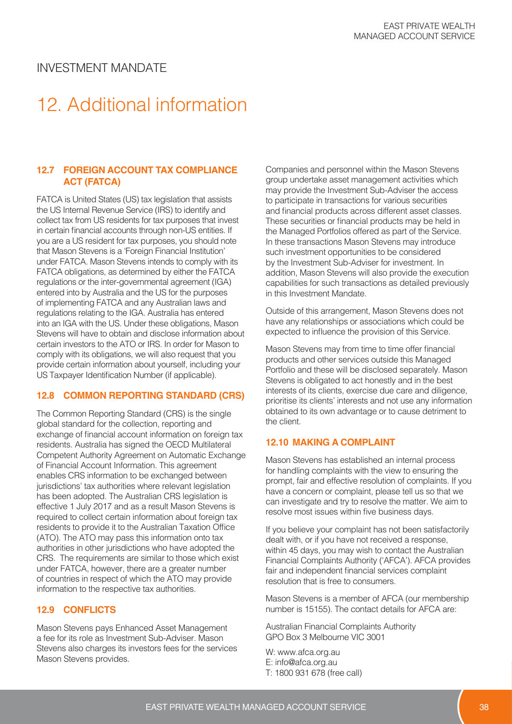# 12. Additional information

#### **12.7 FOREIGN ACCOUNT TAX COMPLIANCE ACT (FATCA)**

FATCA is United States (US) tax legislation that assists the US Internal Revenue Service (IRS) to identify and collect tax from US residents for tax purposes that invest in certain financial accounts through non-US entities. If you are a US resident for tax purposes, you should note that Mason Stevens is a 'Foreign Financial Institution' under FATCA. Mason Stevens intends to comply with its FATCA obligations, as determined by either the FATCA regulations or the inter-governmental agreement (IGA) entered into by Australia and the US for the purposes of implementing FATCA and any Australian laws and regulations relating to the IGA. Australia has entered into an IGA with the US. Under these obligations, Mason Stevens will have to obtain and disclose information about certain investors to the ATO or IRS. In order for Mason to comply with its obligations, we will also request that you provide certain information about yourself, including your US Taxpayer Identification Number (if applicable).

#### **12.8 COMMON REPORTING STANDARD (CRS)**

The Common Reporting Standard (CRS) is the single global standard for the collection, reporting and exchange of financial account information on foreign tax residents. Australia has signed the OECD Multilateral Competent Authority Agreement on Automatic Exchange of Financial Account Information. This agreement enables CRS information to be exchanged between jurisdictions' tax authorities where relevant legislation has been adopted. The Australian CRS legislation is effective 1 July 2017 and as a result Mason Stevens is required to collect certain information about foreign tax residents to provide it to the Australian Taxation Office (ATO). The ATO may pass this information onto tax authorities in other jurisdictions who have adopted the CRS. The requirements are similar to those which exist under FATCA, however, there are a greater number of countries in respect of which the ATO may provide information to the respective tax authorities.

#### **12.9 CONFLICTS**

Mason Stevens pays Enhanced Asset Management a fee for its role as Investment Sub-Adviser. Mason Stevens also charges its investors fees for the services Mason Stevens provides.

Companies and personnel within the Mason Stevens group undertake asset management activities which may provide the Investment Sub-Adviser the access to participate in transactions for various securities and financial products across different asset classes. These securities or financial products may be held in the Managed Portfolios offered as part of the Service. In these transactions Mason Stevens may introduce such investment opportunities to be considered by the Investment Sub-Adviser for investment. In addition, Mason Stevens will also provide the execution capabilities for such transactions as detailed previously in this Investment Mandate.

Outside of this arrangement, Mason Stevens does not have any relationships or associations which could be expected to influence the provision of this Service.

Mason Stevens may from time to time offer financial products and other services outside this Managed Portfolio and these will be disclosed separately. Mason Stevens is obligated to act honestly and in the best interests of its clients, exercise due care and diligence, prioritise its clients' interests and not use any information obtained to its own advantage or to cause detriment to the client.

#### **12.10 MAKING A COMPLAINT**

Mason Stevens has established an internal process for handling complaints with the view to ensuring the prompt, fair and effective resolution of complaints. If you have a concern or complaint, please tell us so that we can investigate and try to resolve the matter. We aim to resolve most issues within five business days.

If you believe your complaint has not been satisfactorily dealt with, or if you have not received a response, within 45 days, you may wish to contact the Australian Financial Complaints Authority ('AFCA'). AFCA provides fair and independent financial services complaint resolution that is free to consumers.

Mason Stevens is a member of AFCA (our membership number is 15155). The contact details for AFCA are:

Australian Financial Complaints Authority GPO Box 3 Melbourne VIC 3001

W: www.afca.org.au E: info@afca.org.au T: 1800 931 678 (free call)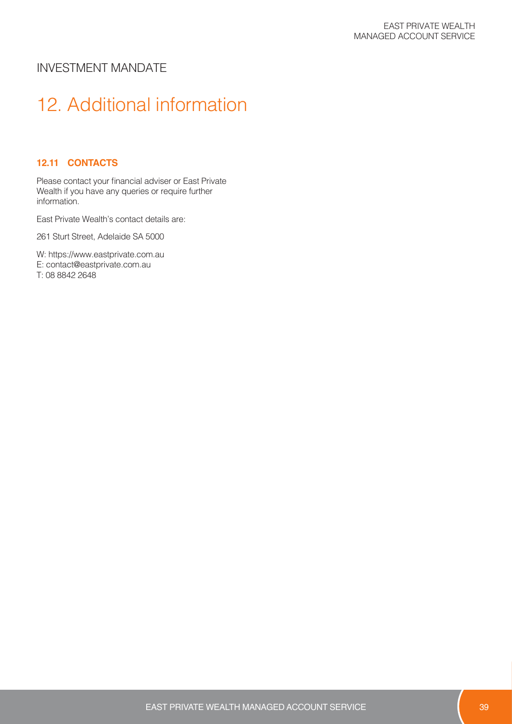# 12. Additional information

#### **12.11 CONTACTS**

Please contact your financial adviser or East Private Wealth if you have any queries or require further information.

East Private Wealth's contact details are:

261 Sturt Street, Adelaide SA 5000

W: https://www.eastprivate.com.au E: contact@eastprivate.com.au T: 08 8842 2648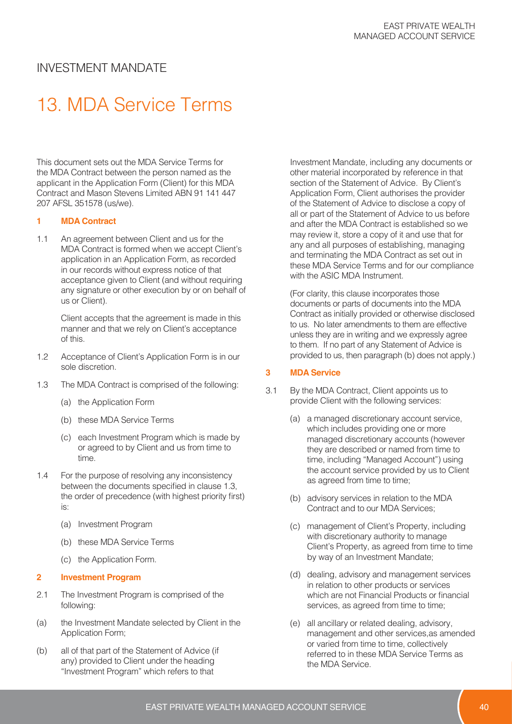# 13. MDA Service Terms

This document sets out the MDA Service Terms for the MDA Contract between the person named as the applicant in the Application Form (Client) for this MDA Contract and Mason Stevens Limited ABN 91 141 447 207 AFSL 351578 (us/we).

#### **1 MDA Contract**

1.1 An agreement between Client and us for the MDA Contract is formed when we accept Client's application in an Application Form, as recorded in our records without express notice of that acceptance given to Client (and without requiring any signature or other execution by or on behalf of us or Client).

> Client accepts that the agreement is made in this manner and that we rely on Client's acceptance of this.

- 1.2 Acceptance of Client's Application Form is in our sole discretion.
- 1.3 The MDA Contract is comprised of the following:
	- (a) the Application Form
	- (b) these MDA Service Terms
	- (c) each Investment Program which is made by or agreed to by Client and us from time to time.
- 1.4 For the purpose of resolving any inconsistency between the documents specified in clause 1.3, the order of precedence (with highest priority first) is:
	- (a) Investment Program
	- (b) these MDA Service Terms
	- (c) the Application Form.

#### **2 Investment Program**

- 2.1 The Investment Program is comprised of the following:
- (a) the Investment Mandate selected by Client in the Application Form;
- (b) all of that part of the Statement of Advice (if any) provided to Client under the heading "Investment Program" which refers to that

Investment Mandate, including any documents or other material incorporated by reference in that section of the Statement of Advice. By Client's Application Form, Client authorises the provider of the Statement of Advice to disclose a copy of all or part of the Statement of Advice to us before and after the MDA Contract is established so we may review it, store a copy of it and use that for any and all purposes of establishing, managing and terminating the MDA Contract as set out in these MDA Service Terms and for our compliance with the ASIC MDA Instrument.

(For clarity, this clause incorporates those documents or parts of documents into the MDA Contract as initially provided or otherwise disclosed to us. No later amendments to them are effective unless they are in writing and we expressly agree to them. If no part of any Statement of Advice is provided to us, then paragraph (b) does not apply.)

#### **3 MDA Service**

- 3.1 By the MDA Contract, Client appoints us to provide Client with the following services:
	- (a) a managed discretionary account service, which includes providing one or more managed discretionary accounts (however they are described or named from time to time, including "Managed Account") using the account service provided by us to Client as agreed from time to time;
	- (b) advisory services in relation to the MDA Contract and to our MDA Services;
	- (c) management of Client's Property, including with discretionary authority to manage Client's Property, as agreed from time to time by way of an Investment Mandate;
	- (d) dealing, advisory and management services in relation to other products or services which are not Financial Products or financial services, as agreed from time to time;
	- (e) all ancillary or related dealing, advisory, management and other services,as amended or varied from time to time, collectively referred to in these MDA Service Terms as the MDA Service.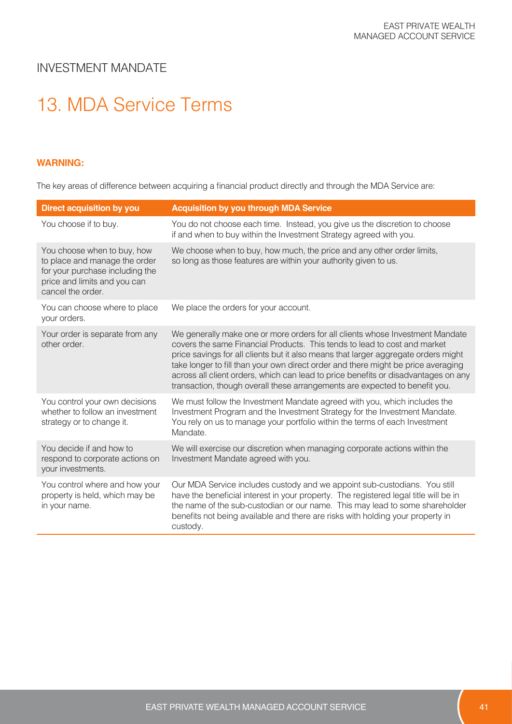# 13. MDA Service Terms

#### **WARNING:**

The key areas of difference between acquiring a financial product directly and through the MDA Service are:

| <b>Direct acquisition by you</b>                                                                                                                     | <b>Acquisition by you through MDA Service</b>                                                                                                                                                                                                                                                                                                                                                                                                                                                              |
|------------------------------------------------------------------------------------------------------------------------------------------------------|------------------------------------------------------------------------------------------------------------------------------------------------------------------------------------------------------------------------------------------------------------------------------------------------------------------------------------------------------------------------------------------------------------------------------------------------------------------------------------------------------------|
| You choose if to buy.                                                                                                                                | You do not choose each time. Instead, you give us the discretion to choose<br>if and when to buy within the Investment Strategy agreed with you.                                                                                                                                                                                                                                                                                                                                                           |
| You choose when to buy, how<br>to place and manage the order<br>for your purchase including the<br>price and limits and you can<br>cancel the order. | We choose when to buy, how much, the price and any other order limits,<br>so long as those features are within your authority given to us.                                                                                                                                                                                                                                                                                                                                                                 |
| You can choose where to place<br>your orders.                                                                                                        | We place the orders for your account.                                                                                                                                                                                                                                                                                                                                                                                                                                                                      |
| Your order is separate from any<br>other order.                                                                                                      | We generally make one or more orders for all clients whose Investment Mandate<br>covers the same Financial Products. This tends to lead to cost and market<br>price savings for all clients but it also means that larger aggregate orders might<br>take longer to fill than your own direct order and there might be price averaging<br>across all client orders, which can lead to price benefits or disadvantages on any<br>transaction, though overall these arrangements are expected to benefit you. |
| You control your own decisions<br>whether to follow an investment<br>strategy or to change it.                                                       | We must follow the Investment Mandate agreed with you, which includes the<br>Investment Program and the Investment Strategy for the Investment Mandate.<br>You rely on us to manage your portfolio within the terms of each Investment<br>Mandate.                                                                                                                                                                                                                                                         |
| You decide if and how to<br>respond to corporate actions on<br>your investments.                                                                     | We will exercise our discretion when managing corporate actions within the<br>Investment Mandate agreed with you.                                                                                                                                                                                                                                                                                                                                                                                          |
| You control where and how your<br>property is held, which may be<br>in your name.                                                                    | Our MDA Service includes custody and we appoint sub-custodians. You still<br>have the beneficial interest in your property. The registered legal title will be in<br>the name of the sub-custodian or our name. This may lead to some shareholder<br>benefits not being available and there are risks with holding your property in<br>custody.                                                                                                                                                            |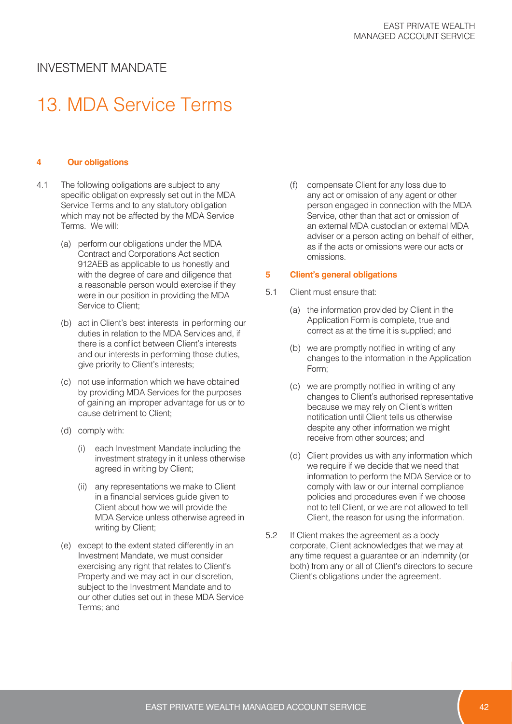# 13. MDA Service Terms

#### **4 Our obligations**

- 4.1 The following obligations are subject to any specific obligation expressly set out in the MDA Service Terms and to any statutory obligation which may not be affected by the MDA Service Terms. We will:
	- (a) perform our obligations under the MDA Contract and Corporations Act section 912AEB as applicable to us honestly and with the degree of care and diligence that a reasonable person would exercise if they were in our position in providing the MDA Service to Client;
	- (b) act in Client's best interests in performing our duties in relation to the MDA Services and, if there is a conflict between Client's interests and our interests in performing those duties, give priority to Client's interests;
	- (c) not use information which we have obtained by providing MDA Services for the purposes of gaining an improper advantage for us or to cause detriment to Client;
	- (d) comply with:
		- (i) each Investment Mandate including the investment strategy in it unless otherwise agreed in writing by Client;
		- (ii) any representations we make to Client in a financial services guide given to Client about how we will provide the MDA Service unless otherwise agreed in writing by Client;
	- (e) except to the extent stated differently in an Investment Mandate, we must consider exercising any right that relates to Client's Property and we may act in our discretion, subject to the Investment Mandate and to our other duties set out in these MDA Service Terms; and

(f) compensate Client for any loss due to any act or omission of any agent or other person engaged in connection with the MDA Service, other than that act or omission of an external MDA custodian or external MDA adviser or a person acting on behalf of either, as if the acts or omissions were our acts or omissions.

#### **5 Client's general obligations**

- 5.1 Client must ensure that:
	- (a) the information provided by Client in the Application Form is complete, true and correct as at the time it is supplied; and
	- (b) we are promptly notified in writing of any changes to the information in the Application Form;
	- (c) we are promptly notified in writing of any changes to Client's authorised representative because we may rely on Client's written notification until Client tells us otherwise despite any other information we might receive from other sources; and
	- (d) Client provides us with any information which we require if we decide that we need that information to perform the MDA Service or to comply with law or our internal compliance policies and procedures even if we choose not to tell Client, or we are not allowed to tell Client, the reason for using the information.
- 5.2 If Client makes the agreement as a body corporate, Client acknowledges that we may at any time request a guarantee or an indemnity (or both) from any or all of Client's directors to secure Client's obligations under the agreement.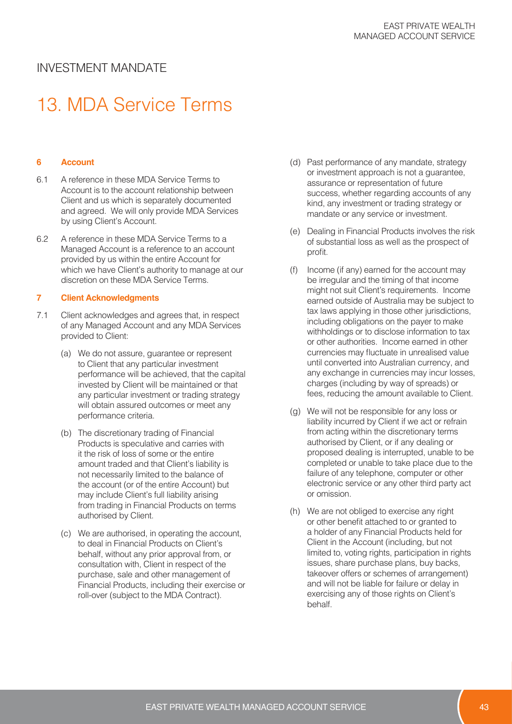## 13. MDA Service Terms

#### **6 Account**

- 6.1 A reference in these MDA Service Terms to Account is to the account relationship between Client and us which is separately documented and agreed. We will only provide MDA Services by using Client's Account.
- 6.2 A reference in these MDA Service Terms to a Managed Account is a reference to an account provided by us within the entire Account for which we have Client's authority to manage at our discretion on these MDA Service Terms.

#### **7 Client Acknowledgments**

- 7.1 Client acknowledges and agrees that, in respect of any Managed Account and any MDA Services provided to Client:
	- (a) We do not assure, guarantee or represent to Client that any particular investment performance will be achieved, that the capital invested by Client will be maintained or that any particular investment or trading strategy will obtain assured outcomes or meet any performance criteria.
	- (b) The discretionary trading of Financial Products is speculative and carries with it the risk of loss of some or the entire amount traded and that Client's liability is not necessarily limited to the balance of the account (or of the entire Account) but may include Client's full liability arising from trading in Financial Products on terms authorised by Client.
	- (c) We are authorised, in operating the account, to deal in Financial Products on Client's behalf, without any prior approval from, or consultation with, Client in respect of the purchase, sale and other management of Financial Products, including their exercise or roll-over (subject to the MDA Contract).
- (d) Past performance of any mandate, strategy or investment approach is not a guarantee, assurance or representation of future success, whether regarding accounts of any kind, any investment or trading strategy or mandate or any service or investment.
- (e) Dealing in Financial Products involves the risk of substantial loss as well as the prospect of profit.
- (f) Income (if any) earned for the account may be irregular and the timing of that income might not suit Client's requirements. Income earned outside of Australia may be subject to tax laws applying in those other jurisdictions, including obligations on the payer to make withholdings or to disclose information to tax or other authorities. Income earned in other currencies may fluctuate in unrealised value until converted into Australian currency, and any exchange in currencies may incur losses, charges (including by way of spreads) or fees, reducing the amount available to Client.
- (g) We will not be responsible for any loss or liability incurred by Client if we act or refrain from acting within the discretionary terms authorised by Client, or if any dealing or proposed dealing is interrupted, unable to be completed or unable to take place due to the failure of any telephone, computer or other electronic service or any other third party act or omission.
- (h) We are not obliged to exercise any right or other benefit attached to or granted to a holder of any Financial Products held for Client in the Account (including, but not limited to, voting rights, participation in rights issues, share purchase plans, buy backs, takeover offers or schemes of arrangement) and will not be liable for failure or delay in exercising any of those rights on Client's behalf.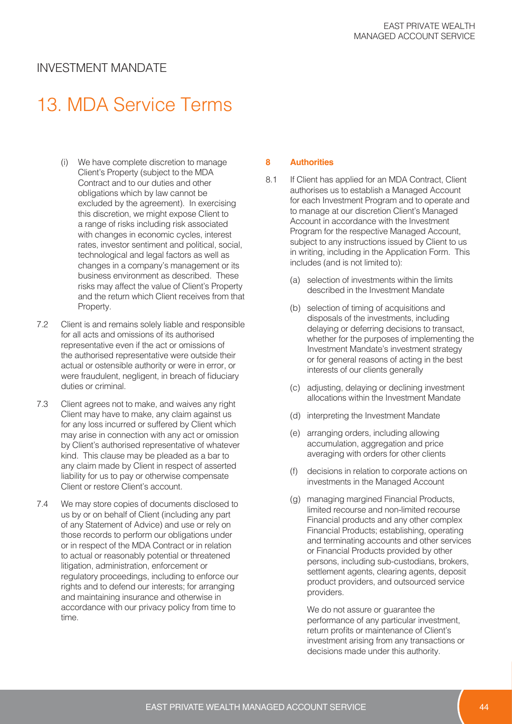## 13. MDA Service Terms

- (i) We have complete discretion to manage Client's Property (subject to the MDA Contract and to our duties and other obligations which by law cannot be excluded by the agreement). In exercising this discretion, we might expose Client to a range of risks including risk associated with changes in economic cycles, interest rates, investor sentiment and political, social, technological and legal factors as well as changes in a company's management or its business environment as described. These risks may affect the value of Client's Property and the return which Client receives from that Property.
- 7.2 Client is and remains solely liable and responsible for all acts and omissions of its authorised representative even if the act or omissions of the authorised representative were outside their actual or ostensible authority or were in error, or were fraudulent, negligent, in breach of fiduciary duties or criminal.
- 7.3 Client agrees not to make, and waives any right Client may have to make, any claim against us for any loss incurred or suffered by Client which may arise in connection with any act or omission by Client's authorised representative of whatever kind. This clause may be pleaded as a bar to any claim made by Client in respect of asserted liability for us to pay or otherwise compensate Client or restore Client's account.
- 7.4 We may store copies of documents disclosed to us by or on behalf of Client (including any part of any Statement of Advice) and use or rely on those records to perform our obligations under or in respect of the MDA Contract or in relation to actual or reasonably potential or threatened litigation, administration, enforcement or regulatory proceedings, including to enforce our rights and to defend our interests; for arranging and maintaining insurance and otherwise in accordance with our privacy policy from time to time.

#### **8 Authorities**

- 8.1 If Client has applied for an MDA Contract, Client authorises us to establish a Managed Account for each Investment Program and to operate and to manage at our discretion Client's Managed Account in accordance with the Investment Program for the respective Managed Account, subject to any instructions issued by Client to us in writing, including in the Application Form. This includes (and is not limited to):
	- (a) selection of investments within the limits described in the Investment Mandate
	- (b) selection of timing of acquisitions and disposals of the investments, including delaying or deferring decisions to transact, whether for the purposes of implementing the Investment Mandate's investment strategy or for general reasons of acting in the best interests of our clients generally
	- (c) adjusting, delaying or declining investment allocations within the Investment Mandate
	- (d) interpreting the Investment Mandate
	- (e) arranging orders, including allowing accumulation, aggregation and price averaging with orders for other clients
	- (f) decisions in relation to corporate actions on investments in the Managed Account
	- (g) managing margined Financial Products, limited recourse and non-limited recourse Financial products and any other complex Financial Products; establishing, operating and terminating accounts and other services or Financial Products provided by other persons, including sub-custodians, brokers, settlement agents, clearing agents, deposit product providers, and outsourced service providers.

We do not assure or guarantee the performance of any particular investment, return profits or maintenance of Client's investment arising from any transactions or decisions made under this authority.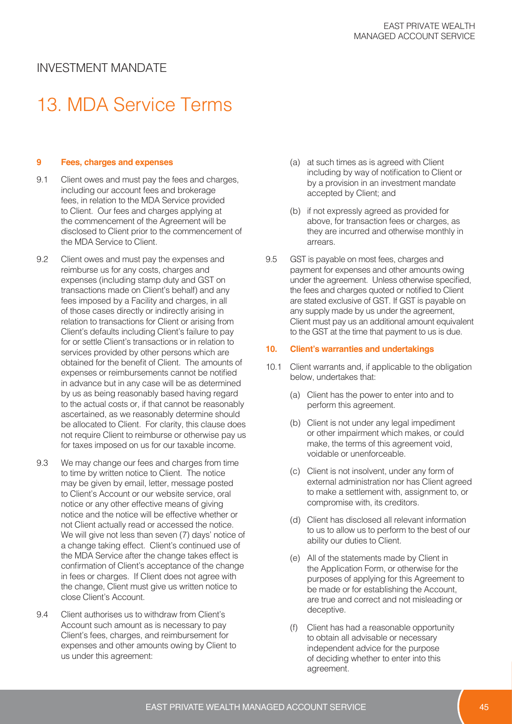# 13. MDA Service Terms

#### **9 Fees, charges and expenses**

- 9.1 Client owes and must pay the fees and charges, including our account fees and brokerage fees, in relation to the MDA Service provided to Client. Our fees and charges applying at the commencement of the Agreement will be disclosed to Client prior to the commencement of the MDA Service to Client.
- 9.2 Client owes and must pay the expenses and reimburse us for any costs, charges and expenses (including stamp duty and GST on transactions made on Client's behalf) and any fees imposed by a Facility and charges, in all of those cases directly or indirectly arising in relation to transactions for Client or arising from Client's defaults including Client's failure to pay for or settle Client's transactions or in relation to services provided by other persons which are obtained for the benefit of Client. The amounts of expenses or reimbursements cannot be notified in advance but in any case will be as determined by us as being reasonably based having regard to the actual costs or, if that cannot be reasonably ascertained, as we reasonably determine should be allocated to Client. For clarity, this clause does not require Client to reimburse or otherwise pay us for taxes imposed on us for our taxable income.
- 9.3 We may change our fees and charges from time to time by written notice to Client. The notice may be given by email, letter, message posted to Client's Account or our website service, oral notice or any other effective means of giving notice and the notice will be effective whether or not Client actually read or accessed the notice. We will give not less than seven (7) days' notice of a change taking effect. Client's continued use of the MDA Service after the change takes effect is confirmation of Client's acceptance of the change in fees or charges. If Client does not agree with the change, Client must give us written notice to close Client's Account.
- 9.4 Client authorises us to withdraw from Client's Account such amount as is necessary to pay Client's fees, charges, and reimbursement for expenses and other amounts owing by Client to us under this agreement:
- (a) at such times as is agreed with Client including by way of notification to Client or by a provision in an investment mandate accepted by Client; and
- (b) if not expressly agreed as provided for above, for transaction fees or charges, as they are incurred and otherwise monthly in arrears.
- 9.5 GST is payable on most fees, charges and payment for expenses and other amounts owing under the agreement. Unless otherwise specified, the fees and charges quoted or notified to Client are stated exclusive of GST. If GST is payable on any supply made by us under the agreement, Client must pay us an additional amount equivalent to the GST at the time that payment to us is due.

#### **10. Client's warranties and undertakings**

- 10.1 Client warrants and, if applicable to the obligation below, undertakes that:
	- (a) Client has the power to enter into and to perform this agreement.
	- (b) Client is not under any legal impediment or other impairment which makes, or could make, the terms of this agreement void, voidable or unenforceable.
	- (c) Client is not insolvent, under any form of external administration nor has Client agreed to make a settlement with, assignment to, or compromise with, its creditors.
	- (d) Client has disclosed all relevant information to us to allow us to perform to the best of our ability our duties to Client.
	- (e) All of the statements made by Client in the Application Form, or otherwise for the purposes of applying for this Agreement to be made or for establishing the Account, are true and correct and not misleading or deceptive.
	- (f) Client has had a reasonable opportunity to obtain all advisable or necessary independent advice for the purpose of deciding whether to enter into this agreement.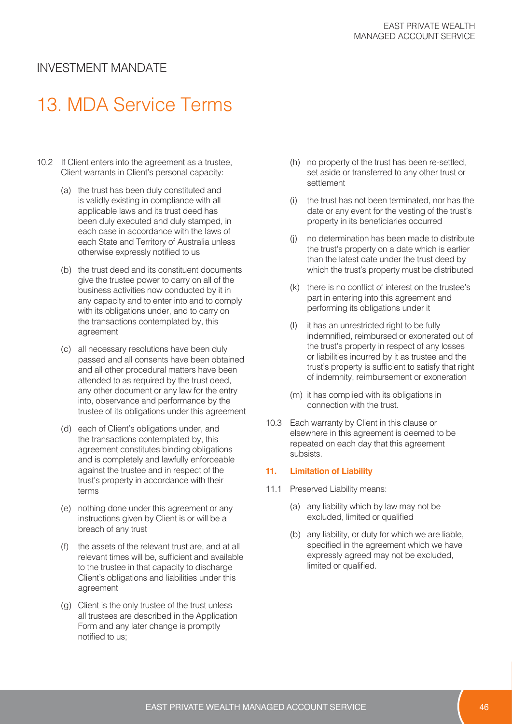# 13. MDA Service Terms

- 10.2 If Client enters into the agreement as a trustee, Client warrants in Client's personal capacity:
	- (a) the trust has been duly constituted and is validly existing in compliance with all applicable laws and its trust deed has been duly executed and duly stamped, in each case in accordance with the laws of each State and Territory of Australia unless otherwise expressly notified to us
	- (b) the trust deed and its constituent documents give the trustee power to carry on all of the business activities now conducted by it in any capacity and to enter into and to comply with its obligations under, and to carry on the transactions contemplated by, this agreement
	- (c) all necessary resolutions have been duly passed and all consents have been obtained and all other procedural matters have been attended to as required by the trust deed, any other document or any law for the entry into, observance and performance by the trustee of its obligations under this agreement
	- (d) each of Client's obligations under, and the transactions contemplated by, this agreement constitutes binding obligations and is completely and lawfully enforceable against the trustee and in respect of the trust's property in accordance with their terms
	- (e) nothing done under this agreement or any instructions given by Client is or will be a breach of any trust
	- (f) the assets of the relevant trust are, and at all relevant times will be, sufficient and available to the trustee in that capacity to discharge Client's obligations and liabilities under this agreement
	- (g) Client is the only trustee of the trust unless all trustees are described in the Application Form and any later change is promptly notified to us;
- (h) no property of the trust has been re-settled, set aside or transferred to any other trust or settlement
- (i) the trust has not been terminated, nor has the date or any event for the vesting of the trust's property in its beneficiaries occurred
- (j) no determination has been made to distribute the trust's property on a date which is earlier than the latest date under the trust deed by which the trust's property must be distributed
- (k) there is no conflict of interest on the trustee's part in entering into this agreement and performing its obligations under it
- (l) it has an unrestricted right to be fully indemnified, reimbursed or exonerated out of the trust's property in respect of any losses or liabilities incurred by it as trustee and the trust's property is sufficient to satisfy that right of indemnity, reimbursement or exoneration
- (m) it has complied with its obligations in connection with the trust.
- 10.3 Each warranty by Client in this clause or elsewhere in this agreement is deemed to be repeated on each day that this agreement subsists.

#### **11. Limitation of Liability**

- 11.1 Preserved Liability means:
	- (a) any liability which by law may not be excluded, limited or qualified
	- (b) any liability, or duty for which we are liable, specified in the agreement which we have expressly agreed may not be excluded, limited or qualified.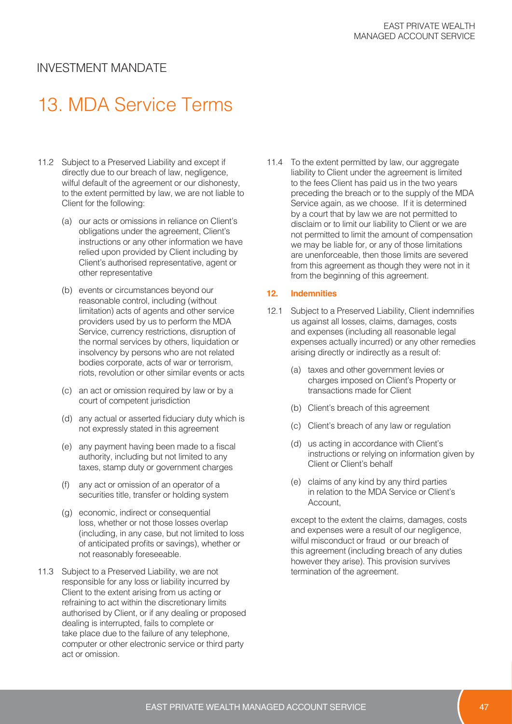# 13. MDA Service Terms

- 11.2 Subject to a Preserved Liability and except if directly due to our breach of law, negligence, wilful default of the agreement or our dishonesty, to the extent permitted by law, we are not liable to Client for the following:
	- (a) our acts or omissions in reliance on Client's obligations under the agreement, Client's instructions or any other information we have relied upon provided by Client including by Client's authorised representative, agent or other representative
	- (b) events or circumstances beyond our reasonable control, including (without limitation) acts of agents and other service providers used by us to perform the MDA Service, currency restrictions, disruption of the normal services by others, liquidation or insolvency by persons who are not related bodies corporate, acts of war or terrorism, riots, revolution or other similar events or acts
	- (c) an act or omission required by law or by a court of competent jurisdiction
	- (d) any actual or asserted fiduciary duty which is not expressly stated in this agreement
	- (e) any payment having been made to a fiscal authority, including but not limited to any taxes, stamp duty or government charges
	- (f) any act or omission of an operator of a securities title, transfer or holding system
	- (g) economic, indirect or consequential loss, whether or not those losses overlap (including, in any case, but not limited to loss of anticipated profits or savings), whether or not reasonably foreseeable.
- 11.3 Subject to a Preserved Liability, we are not responsible for any loss or liability incurred by Client to the extent arising from us acting or refraining to act within the discretionary limits authorised by Client, or if any dealing or proposed dealing is interrupted, fails to complete or take place due to the failure of any telephone, computer or other electronic service or third party act or omission.

11.4 To the extent permitted by law, our aggregate liability to Client under the agreement is limited to the fees Client has paid us in the two years preceding the breach or to the supply of the MDA Service again, as we choose. If it is determined by a court that by law we are not permitted to disclaim or to limit our liability to Client or we are not permitted to limit the amount of compensation we may be liable for, or any of those limitations are unenforceable, then those limits are severed from this agreement as though they were not in it from the beginning of this agreement.

#### **12. Indemnities**

- 12.1 Subject to a Preserved Liability, Client indemnifies us against all losses, claims, damages, costs and expenses (including all reasonable legal expenses actually incurred) or any other remedies arising directly or indirectly as a result of:
	- (a) taxes and other government levies or charges imposed on Client's Property or transactions made for Client
	- (b) Client's breach of this agreement
	- (c) Client's breach of any law or regulation
	- (d) us acting in accordance with Client's instructions or relying on information given by Client or Client's behalf
	- (e) claims of any kind by any third parties in relation to the MDA Service or Client's Account,

except to the extent the claims, damages, costs and expenses were a result of our negligence, wilful misconduct or fraud or our breach of this agreement (including breach of any duties however they arise). This provision survives termination of the agreement.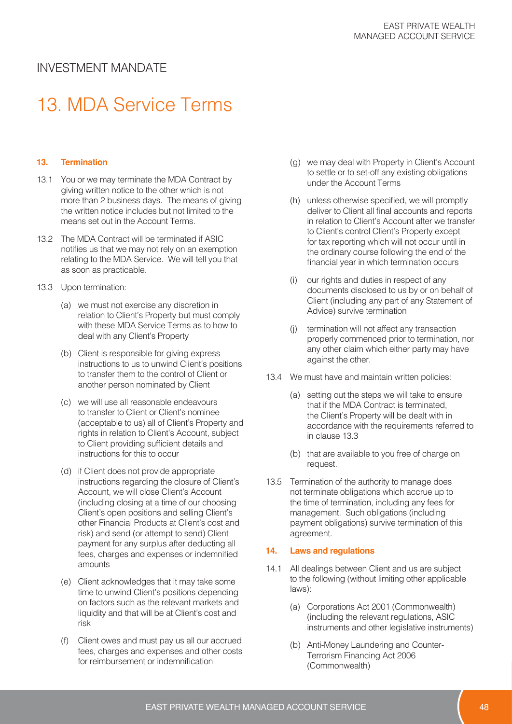# 13. MDA Service Terms

#### **13. Termination**

- 13.1 You or we may terminate the MDA Contract by giving written notice to the other which is not more than 2 business days. The means of giving the written notice includes but not limited to the means set out in the Account Terms.
- 13.2 The MDA Contract will be terminated if ASIC notifies us that we may not rely on an exemption relating to the MDA Service. We will tell you that as soon as practicable.
- 13.3 Upon termination:
	- (a) we must not exercise any discretion in relation to Client's Property but must comply with these MDA Service Terms as to how to deal with any Client's Property
	- (b) Client is responsible for giving express instructions to us to unwind Client's positions to transfer them to the control of Client or another person nominated by Client
	- (c) we will use all reasonable endeavours to transfer to Client or Client's nominee (acceptable to us) all of Client's Property and rights in relation to Client's Account, subject to Client providing sufficient details and instructions for this to occur
	- (d) if Client does not provide appropriate instructions regarding the closure of Client's Account, we will close Client's Account (including closing at a time of our choosing Client's open positions and selling Client's other Financial Products at Client's cost and risk) and send (or attempt to send) Client payment for any surplus after deducting all fees, charges and expenses or indemnified amounts
	- (e) Client acknowledges that it may take some time to unwind Client's positions depending on factors such as the relevant markets and liquidity and that will be at Client's cost and risk
	- (f) Client owes and must pay us all our accrued fees, charges and expenses and other costs for reimbursement or indemnification
- (g) we may deal with Property in Client's Account to settle or to set-off any existing obligations under the Account Terms
- (h) unless otherwise specified, we will promptly deliver to Client all final accounts and reports in relation to Client's Account after we transfer to Client's control Client's Property except for tax reporting which will not occur until in the ordinary course following the end of the financial year in which termination occurs
- (i) our rights and duties in respect of any documents disclosed to us by or on behalf of Client (including any part of any Statement of Advice) survive termination
- (j) termination will not affect any transaction properly commenced prior to termination, nor any other claim which either party may have against the other.
- 13.4 We must have and maintain written policies:
	- (a) setting out the steps we will take to ensure that if the MDA Contract is terminated, the Client's Property will be dealt with in accordance with the requirements referred to in clause 13.3
	- (b) that are available to you free of charge on request.
- 13.5 Termination of the authority to manage does not terminate obligations which accrue up to the time of termination, including any fees for management. Such obligations (including payment obligations) survive termination of this agreement.

#### **14. Laws and regulations**

- 14.1 All dealings between Client and us are subject to the following (without limiting other applicable laws):
	- (a) Corporations Act 2001 (Commonwealth) (including the relevant regulations, ASIC instruments and other legislative instruments)
	- (b) Anti-Money Laundering and Counter-Terrorism Financing Act 2006 (Commonwealth)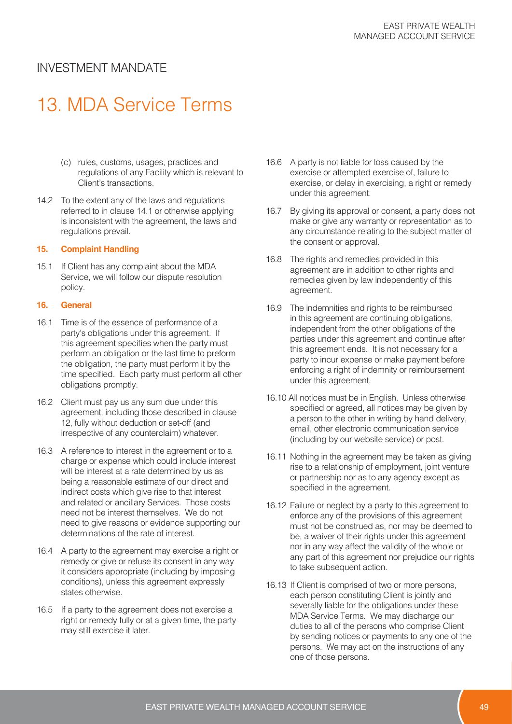# 13. MDA Service Terms

- (c) rules, customs, usages, practices and regulations of any Facility which is relevant to Client's transactions.
- 14.2 To the extent any of the laws and regulations referred to in clause 14.1 or otherwise applying is inconsistent with the agreement, the laws and regulations prevail.

#### **15. Complaint Handling**

15.1 If Client has any complaint about the MDA Service, we will follow our dispute resolution policy.

#### **16. General**

- 16.1 Time is of the essence of performance of a party's obligations under this agreement. If this agreement specifies when the party must perform an obligation or the last time to preform the obligation, the party must perform it by the time specified. Each party must perform all other obligations promptly.
- 16.2 Client must pay us any sum due under this agreement, including those described in clause 12, fully without deduction or set-off (and irrespective of any counterclaim) whatever.
- 16.3 A reference to interest in the agreement or to a charge or expense which could include interest will be interest at a rate determined by us as being a reasonable estimate of our direct and indirect costs which give rise to that interest and related or ancillary Services. Those costs need not be interest themselves. We do not need to give reasons or evidence supporting our determinations of the rate of interest.
- 16.4 A party to the agreement may exercise a right or remedy or give or refuse its consent in any way it considers appropriate (including by imposing conditions), unless this agreement expressly states otherwise.
- 16.5 If a party to the agreement does not exercise a right or remedy fully or at a given time, the party may still exercise it later.
- 16.6 A party is not liable for loss caused by the exercise or attempted exercise of, failure to exercise, or delay in exercising, a right or remedy under this agreement.
- 16.7 By giving its approval or consent, a party does not make or give any warranty or representation as to any circumstance relating to the subject matter of the consent or approval.
- 16.8 The rights and remedies provided in this agreement are in addition to other rights and remedies given by law independently of this agreement.
- 16.9 The indemnities and rights to be reimbursed in this agreement are continuing obligations, independent from the other obligations of the parties under this agreement and continue after this agreement ends. It is not necessary for a party to incur expense or make payment before enforcing a right of indemnity or reimbursement under this agreement.
- 16.10 All notices must be in English. Unless otherwise specified or agreed, all notices may be given by a person to the other in writing by hand delivery, email, other electronic communication service (including by our website service) or post.
- 16.11 Nothing in the agreement may be taken as giving rise to a relationship of employment, joint venture or partnership nor as to any agency except as specified in the agreement.
- 16.12 Failure or neglect by a party to this agreement to enforce any of the provisions of this agreement must not be construed as, nor may be deemed to be, a waiver of their rights under this agreement nor in any way affect the validity of the whole or any part of this agreement nor prejudice our rights to take subsequent action.
- 16.13 If Client is comprised of two or more persons, each person constituting Client is jointly and severally liable for the obligations under these MDA Service Terms. We may discharge our duties to all of the persons who comprise Client by sending notices or payments to any one of the persons. We may act on the instructions of any one of those persons.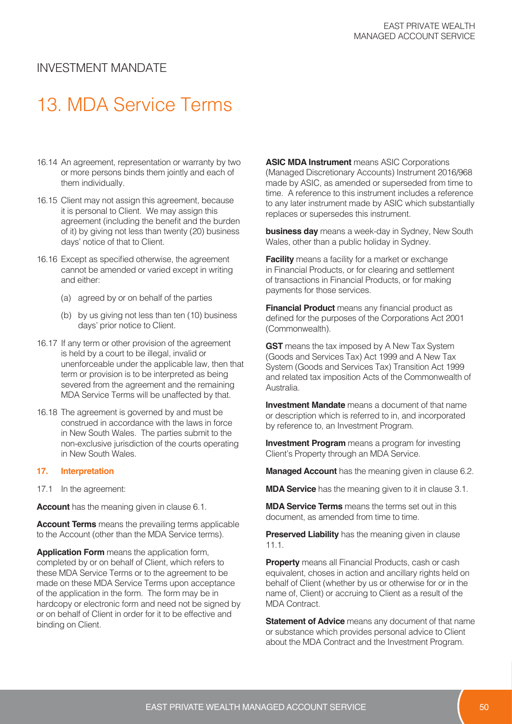# 13. MDA Service Terms

- 16.14 An agreement, representation or warranty by two or more persons binds them jointly and each of them individually.
- 16.15 Client may not assign this agreement, because it is personal to Client. We may assign this agreement (including the benefit and the burden of it) by giving not less than twenty (20) business days' notice of that to Client.
- 16.16 Except as specified otherwise, the agreement cannot be amended or varied except in writing and either:
	- (a) agreed by or on behalf of the parties
	- (b) by us giving not less than ten (10) business days' prior notice to Client.
- 16.17 If any term or other provision of the agreement is held by a court to be illegal, invalid or unenforceable under the applicable law, then that term or provision is to be interpreted as being severed from the agreement and the remaining MDA Service Terms will be unaffected by that.
- 16.18 The agreement is governed by and must be construed in accordance with the laws in force in New South Wales. The parties submit to the non-exclusive jurisdiction of the courts operating in New South Wales.

#### **17. Interpretation**

17.1 In the agreement:

**Account** has the meaning given in clause 6.1.

**Account Terms** means the prevailing terms applicable to the Account (other than the MDA Service terms).

**Application Form** means the application form, completed by or on behalf of Client, which refers to these MDA Service Terms or to the agreement to be made on these MDA Service Terms upon acceptance of the application in the form. The form may be in hardcopy or electronic form and need not be signed by or on behalf of Client in order for it to be effective and binding on Client.

**ASIC MDA Instrument** means ASIC Corporations (Managed Discretionary Accounts) Instrument 2016/968 made by ASIC, as amended or superseded from time to time. A reference to this instrument includes a reference to any later instrument made by ASIC which substantially replaces or supersedes this instrument.

**business day** means a week-day in Sydney, New South Wales, other than a public holiday in Sydney.

**Facility** means a facility for a market or exchange in Financial Products, or for clearing and settlement of transactions in Financial Products, or for making payments for those services.

**Financial Product** means any financial product as defined for the purposes of the Corporations Act 2001 (Commonwealth).

**GST** means the tax imposed by A New Tax System (Goods and Services Tax) Act 1999 and A New Tax System (Goods and Services Tax) Transition Act 1999 and related tax imposition Acts of the Commonwealth of Australia.

**Investment Mandate** means a document of that name or description which is referred to in, and incorporated by reference to, an Investment Program.

**Investment Program** means a program for investing Client's Property through an MDA Service.

**Managed Account** has the meaning given in clause 6.2.

**MDA Service** has the meaning given to it in clause 3.1.

**MDA Service Terms** means the terms set out in this document, as amended from time to time.

**Preserved Liability** has the meaning given in clause 11.1.

**Property** means all Financial Products, cash or cash equivalent, choses in action and ancillary rights held on behalf of Client (whether by us or otherwise for or in the name of, Client) or accruing to Client as a result of the MDA Contract.

**Statement of Advice** means any document of that name or substance which provides personal advice to Client about the MDA Contract and the Investment Program.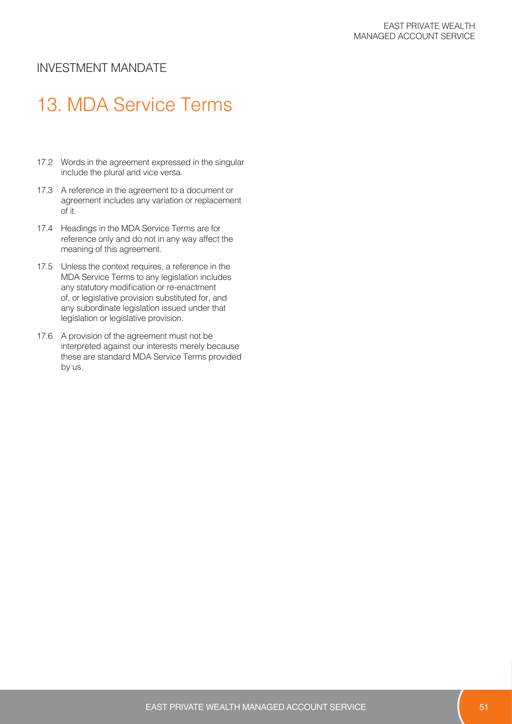## 13. MDA Service Terms

- 17.2 Words in the agreement expressed in the singular include the plural and vice versa.
- 17.3 A reference in the agreement to a document or agreement includes any variation or replacement of it.
- 17.4 Headings in the MDA Service Terms are for reference only and do not in any way affect the meaning of this agreement.
- 17.5 Unless the context requires, a reference in the MDA Service Terms to any legislation includes any statutory modification or re-enactment of, or legislative provision substituted for, and any subordinate legislation issued under that legislation or legislative provision.
- 17.6 A provision of the agreement must not be interpreted against our interests merely because these are standard MDA Service Terms provided by us.